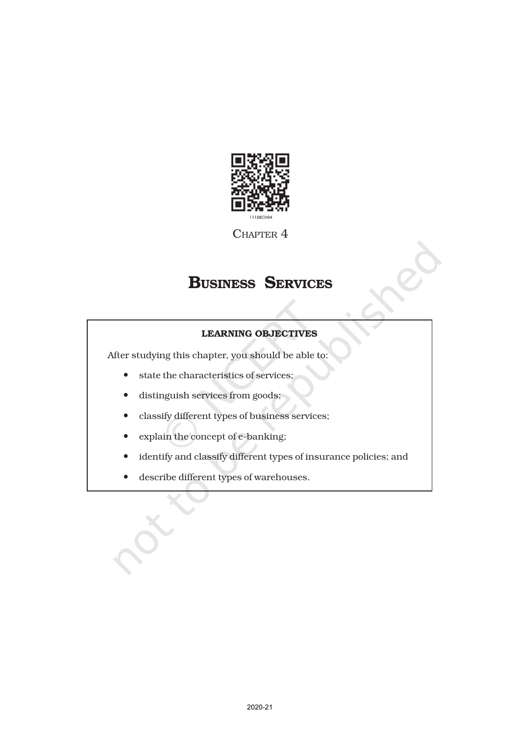

CHAPTER 4

# BUSINESS SERVICES

# LEARNING OBJECTIVES

After studying this chapter, you should be able to:

- state the characteristics of services;
- distinguish services from goods;
- classify different types of business services;
- explain the concept of e-banking;
- identify and classify different types of insurance policies; and
- describe different types of warehouses.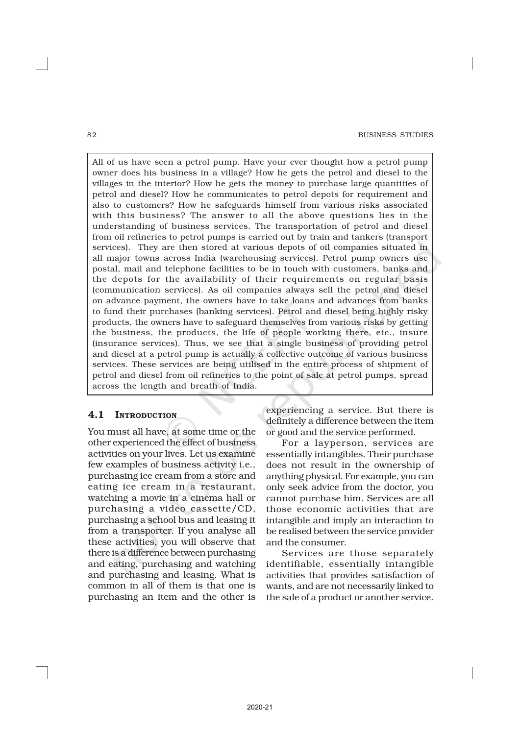82 BUSINESS STUDIES

All of us have seen a petrol pump. Have your ever thought how a petrol pump owner does his business in a village? How he gets the petrol and diesel to the villages in the interior? How he gets the money to purchase large quantities of petrol and diesel? How he communicates to petrol depots for requirement and also to customers? How he safeguards himself from various risks associated with this business? The answer to all the above questions lies in the understanding of business services. The transportation of petrol and diesel from oil refineries to petrol pumps is carried out by train and tankers (transport services). They are then stored at various depots of oil companies situated in all major towns across India (warehousing services). Petrol pump owners use postal, mail and telephone facilities to be in touch with customers, banks and the depots for the availability of their requirements on regular basis (communication services). As oil companies always sell the petrol and diesel on advance payment, the owners have to take loans and advances from banks to fund their purchases (banking services). Petrol and diesel being highly risky products, the owners have to safeguard themselves from various risks by getting the business, the products, the life of people working there, etc., insure (insurance services). Thus, we see that a single business of providing petrol and diesel at a petrol pump is actually a collective outcome of various business services. These services are being utilised in the entire process of shipment of petrol and diesel from oil refineries to the point of sale at petrol pumps, spread across the length and breath of India.

# 4.1 INTRODUCTION

You must all have, at some time or the other experienced the effect of business activities on your lives. Let us examine few examples of business activity i.e., purchasing ice cream from a store and eating ice cream in a restaurant, watching a movie in a cinema hall or purchasing a video cassette/CD, purchasing a school bus and leasing it from a transporter. If you analyse all these activities, you will observe that there is a difference between purchasing and eating, purchasing and watching and purchasing and leasing. What is common in all of them is that one is purchasing an item and the other is

experiencing a service. But there is definitely a difference between the item or good and the service performed.

For a layperson, services are essentially intangibles. Their purchase does not result in the ownership of anything physical. For example, you can only seek advice from the doctor, you cannot purchase him. Services are all those economic activities that are intangible and imply an interaction to be realised between the service provider and the consumer.

Services are those separately identifiable, essentially intangible activities that provides satisfaction of wants, and are not necessarily linked to the sale of a product or another service.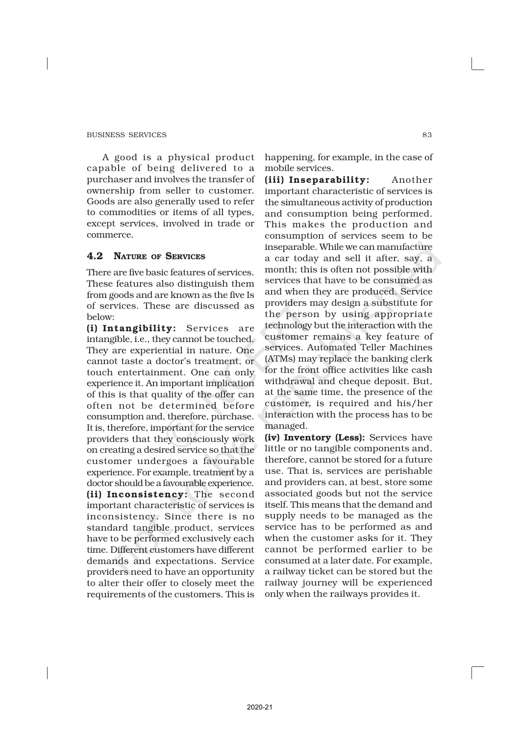A good is a physical product capable of being delivered to a purchaser and involves the transfer of ownership from seller to customer. Goods are also generally used to refer to commodities or items of all types, except services, involved in trade or commerce.

# 4.2 NATURE OF SERVICES

There are five basic features of services. These features also distinguish them from goods and are known as the five Is of services. These are discussed as below:

(i) Intangibility: Services are intangible, i.e., they cannot be touched. They are experiential in nature. One cannot taste a doctor's treatment, or touch entertainment. One can only experience it. An important implication of this is that quality of the offer can often not be determined before consumption and, therefore, purchase. It is, therefore, important for the service providers that they consciously work on creating a desired service so that the customer undergoes a favourable experience. For example, treatment by a doctor should be a favourable experience. (ii) Inconsistency: The second important characteristic of services is inconsistency. Since there is no standard tangible product, services have to be performed exclusively each time. Different customers have different demands and expectations. Service providers need to have an opportunity to alter their offer to closely meet the requirements of the customers. This is

happening, for example, in the case of mobile services.

(iii) Inseparability: Another important characteristic of services is the simultaneous activity of production and consumption being performed. This makes the production and consumption of services seem to be inseparable. While we can manufacture a car today and sell it after, say, a month; this is often not possible with services that have to be consumed as and when they are produced. Service providers may design a substitute for the person by using appropriate technology but the interaction with the customer remains a key feature of services. Automated Teller Machines (ATMs) may replace the banking clerk for the front office activities like cash withdrawal and cheque deposit. But, at the same time, the presence of the customer, is required and his/her interaction with the process has to be managed.

(iv) Inventory (Less): Services have little or no tangible components and, therefore, cannot be stored for a future use. That is, services are perishable and providers can, at best, store some associated goods but not the service itself. This means that the demand and supply needs to be managed as the service has to be performed as and when the customer asks for it. They cannot be performed earlier to be consumed at a later date. For example, a railway ticket can be stored but the railway journey will be experienced only when the railways provides it.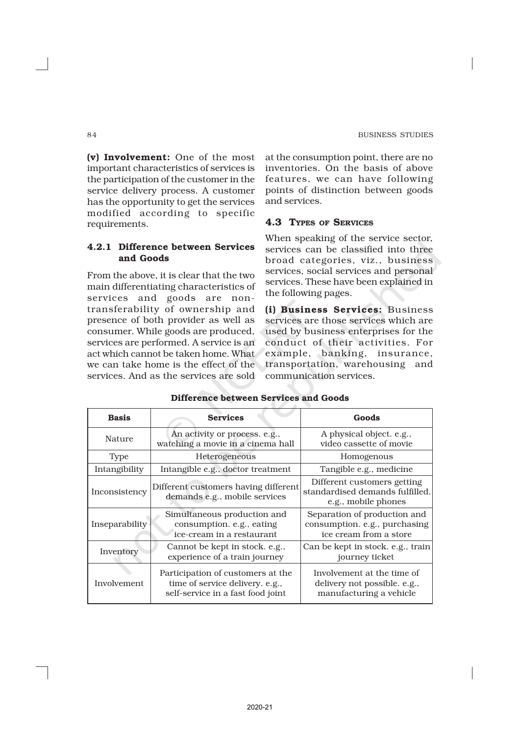(v) Involvement: One of the most important characteristics of services is the participation of the customer in the service delivery process. A customer has the opportunity to get the services modified according to specific requirements.

# 4.2.1 Difference between Services and Goods

From the above, it is clear that the two main differentiating characteristics of services and goods are nontransferability of ownership and presence of both provider as well as consumer. While goods are produced, services are performed. A service is an act which cannot be taken home. What we can take home is the effect of the services. And as the services are sold

at the consumption point, there are no inventories. On the basis of above features, we can have following points of distinction between goods and services.

# 4.3 TYPES OF SERVICES

When speaking of the service sector, services can be classified into three broad categories, viz., business services, social services and personal services. These have been explained in the following pages.

(i) Business Services: Business services are those services which are used by business enterprises for the conduct of their activities. For example, banking, insurance, transportation, warehousing and communication services.

| <b>Basis</b>                                                                                            | <b>Services</b>                                                                                           | Goods                                                                                   |  |
|---------------------------------------------------------------------------------------------------------|-----------------------------------------------------------------------------------------------------------|-----------------------------------------------------------------------------------------|--|
| Nature                                                                                                  | An activity or process. e.g.,<br>watching a movie in a cinema hall                                        | A physical object. e.g.,<br>video cassette of movie                                     |  |
| <b>Type</b>                                                                                             | Heterogeneous                                                                                             | Homogenous                                                                              |  |
| Intangibility                                                                                           | Intangible e.g., doctor treatment                                                                         | Tangible e.g., medicine                                                                 |  |
| Inconsistency                                                                                           | Different customers having different<br>demands e.g., mobile services                                     | Different customers getting<br>standardised demands fulfilled.<br>e.g., mobile phones   |  |
| Simultaneous production and<br>Inseparability<br>consumption. e.g., eating<br>ice-cream in a restaurant |                                                                                                           | Separation of production and<br>consumption. e.g., purchasing<br>ice cream from a store |  |
| Inventory                                                                                               | Cannot be kept in stock. e.g.,<br>experience of a train journey                                           | Can be kept in stock. e.g., train<br>journey ticket                                     |  |
| Involvement                                                                                             | Participation of customers at the<br>time of service delivery. e.g.,<br>self-service in a fast food joint | Involvement at the time of<br>delivery not possible. e.g.,<br>manufacturing a vehicle   |  |

# Difference between Services and Goods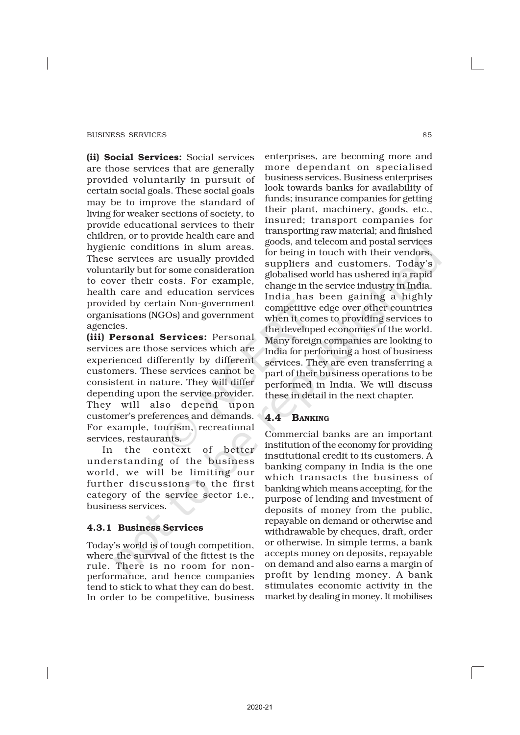(ii) Social Services: Social services are those services that are generally provided voluntarily in pursuit of certain social goals. These social goals may be to improve the standard of living for weaker sections of society, to provide educational services to their children, or to provide health care and hygienic conditions in slum areas. These services are usually provided voluntarily but for some consideration to cover their costs. For example, health care and education services provided by certain Non-government organisations (NGOs) and government agencies.

(iii) Personal Services: Personal services are those services which are experienced differently by different customers. These services cannot be consistent in nature. They will differ depending upon the service provider. They will also depend upon customer's preferences and demands. For example, tourism, recreational services, restaurants.

In the context of better understanding of the business world, we will be limiting our further discussions to the first category of the service sector i.e., business services.

# 4.3.1 Business Services

Today's world is of tough competition, where the survival of the fittest is the rule. There is no room for nonperformance, and hence companies tend to stick to what they can do best. In order to be competitive, business

enterprises, are becoming more and more dependant on specialised business services. Business enterprises look towards banks for availability of funds; insurance companies for getting their plant, machinery, goods, etc., insured; transport companies for transporting raw material; and finished goods, and telecom and postal services for being in touch with their vendors, suppliers and customers. Today's globalised world has ushered in a rapid change in the service industry in India. India has been gaining a highly competitive edge over other countries when it comes to providing services to the developed economies of the world. Many foreign companies are looking to India for performing a host of business services. They are even transferring a part of their business operations to be performed in India. We will discuss these in detail in the next chapter.

# 4.4 BANKING

Commercial banks are an important institution of the economy for providing institutional credit to its customers. A banking company in India is the one which transacts the business of banking which means accepting, for the purpose of lending and investment of deposits of money from the public, repayable on demand or otherwise and withdrawable by cheques, draft, order or otherwise. In simple terms, a bank accepts money on deposits, repayable on demand and also earns a margin of profit by lending money. A bank stimulates economic activity in the market by dealing in money. It mobilises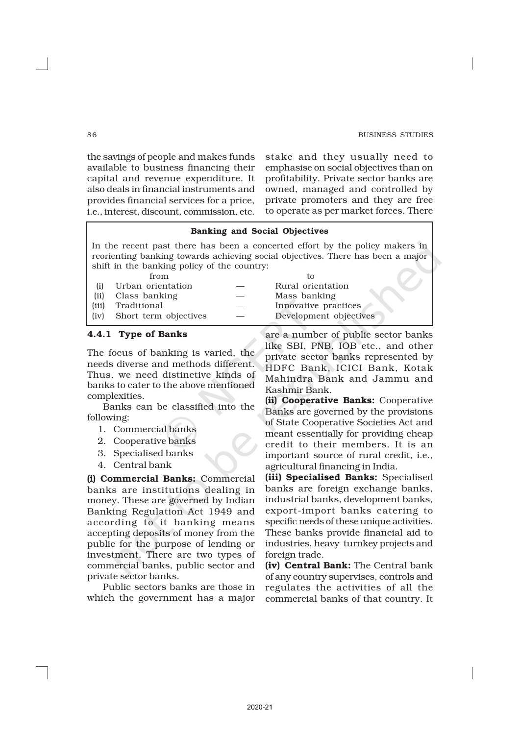the savings of people and makes funds available to business financing their capital and revenue expenditure. It also deals in financial instruments and provides financial services for a price, i.e., interest, discount, commission, etc.

stake and they usually need to emphasise on social objectives than on profitability. Private sector banks are owned, managed and controlled by private promoters and they are free to operate as per market forces. There

#### Banking and Social Objectives

In the recent past there has been a concerted effort by the policy makers in reorienting banking towards achieving social objectives. There has been a major shift in the banking policy of the country:

|       | trom                  |                        |
|-------|-----------------------|------------------------|
| (i)   | Urban orientation     | Rural orientation      |
| (ii)  | Class banking         | Mass banking           |
| (iii) | Traditional           | Innovative practices   |
| (iv)  | Short term objectives | Development objectives |
|       |                       |                        |

#### 4.4.1 Type of Banks

The focus of banking is varied, the needs diverse and methods different. Thus, we need distinctive kinds of banks to cater to the above mentioned complexities.

Banks can be classified into the following:

1. Commercial banks

2. Cooperative banks

3. Specialised banks

4. Central bank

(i) Commercial Banks: Commercial banks are institutions dealing in money. These are governed by Indian Banking Regulation Act 1949 and according to it banking means accepting deposits of money from the public for the purpose of lending or investment. There are two types of commercial banks, public sector and private sector banks.

Public sectors banks are those in which the government has a major are a number of public sector banks like SBI, PNB, IOB etc., and other private sector banks represented by HDFC Bank, ICICI Bank, Kotak Mahindra Bank and Jammu and Kashmir Bank.

(ii) Cooperative Banks: Cooperative Banks are governed by the provisions of State Cooperative Societies Act and meant essentially for providing cheap credit to their members. It is an important source of rural credit, i.e., agricultural financing in India.

(iii) Specialised Banks: Specialised banks are foreign exchange banks, industrial banks, development banks, export-import banks catering to specific needs of these unique activities. These banks provide financial aid to industries, heavy turnkey projects and foreign trade.

(iv) Central Bank: The Central bank of any country supervises, controls and regulates the activities of all the commercial banks of that country. It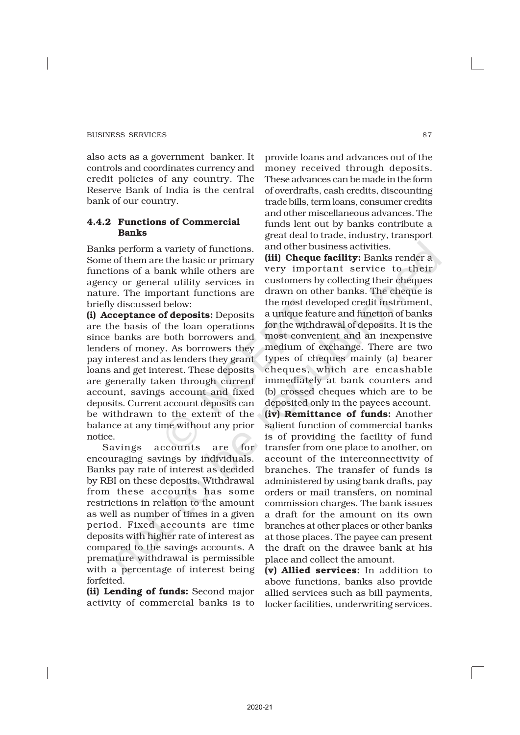also acts as a government banker. It controls and coordinates currency and credit policies of any country. The Reserve Bank of India is the central bank of our country.

# 4.4.2 Functions of Commercial Banks

Banks perform a variety of functions. Some of them are the basic or primary functions of a bank while others are agency or general utility services in nature. The important functions are briefly discussed below:

(i) Acceptance of deposits: Deposits are the basis of the loan operations since banks are both borrowers and lenders of money. As borrowers they pay interest and as lenders they grant loans and get interest. These deposits are generally taken through current account, savings account and fixed deposits. Current account deposits can be withdrawn to the extent of the balance at any time without any prior notice.

Savings accounts are for encouraging savings by individuals. Banks pay rate of interest as decided by RBI on these deposits. Withdrawal from these accounts has some restrictions in relation to the amount as well as number of times in a given period. Fixed accounts are time deposits with higher rate of interest as compared to the savings accounts. A premature withdrawal is permissible with a percentage of interest being forfeited.

(ii) Lending of funds: Second major activity of commercial banks is to

provide loans and advances out of the money received through deposits. These advances can be made in the form of overdrafts, cash credits, discounting trade bills, term loans, consumer credits and other miscellaneous advances. The funds lent out by banks contribute a great deal to trade, industry, transport and other business activities.

(iii) Cheque facility: Banks render a very important service to their customers by collecting their cheques drawn on other banks. The cheque is the most developed credit instrument, a unique feature and function of banks for the withdrawal of deposits. It is the most convenient and an inexpensive medium of exchange. There are two types of cheques mainly (a) bearer cheques, which are encashable immediately at bank counters and (b) crossed cheques which are to be deposited only in the payees account. (iv) Remittance of funds: Another salient function of commercial banks is of providing the facility of fund transfer from one place to another, on account of the interconnectivity of branches. The transfer of funds is administered by using bank drafts, pay orders or mail transfers, on nominal commission charges. The bank issues a draft for the amount on its own branches at other places or other banks at those places. The payee can present the draft on the drawee bank at his place and collect the amount.

(v) Allied services: In addition to above functions, banks also provide allied services such as bill payments, locker facilities, underwriting services.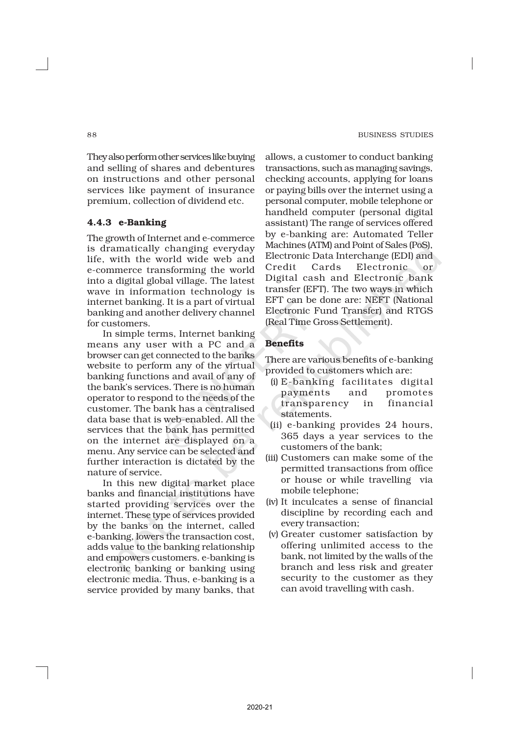They also perform other services like buying and selling of shares and debentures on instructions and other personal services like payment of insurance premium, collection of dividend etc.

# 4.4.3 e-Banking

The growth of Internet and e-commerce is dramatically changing everyday life, with the world wide web and e-commerce transforming the world into a digital global village. The latest wave in information technology is internet banking. It is a part of virtual banking and another delivery channel for customers.

In simple terms, Internet banking means any user with a PC and a browser can get connected to the banks website to perform any of the virtual banking functions and avail of any of the bank's services. There is no human operator to respond to the needs of the customer. The bank has a centralised data base that is web-enabled. All the services that the bank has permitted on the internet are displayed on a menu. Any service can be selected and further interaction is dictated by the nature of service.

In this new digital market place banks and financial institutions have started providing services over the internet. These type of services provided by the banks on the internet, called e-banking, lowers the transaction cost, adds value to the banking relationship and empowers customers. e-banking is electronic banking or banking using electronic media. Thus, e-banking is a service provided by many banks, that allows, a customer to conduct banking transactions, such as managing savings, checking accounts, applying for loans or paying bills over the internet using a personal computer, mobile telephone or handheld computer (personal digital assistant) The range of services offered by e-banking are: Automated Teller Machines (ATM) and Point of Sales (PoS), Electronic Data Interchange (EDI) and Credit Cards Electronic or Digital cash and Electronic bank transfer (EFT). The two ways in which EFT can be done are: NEFT (National Electronic Fund Transfer) and RTGS (Real Time Gross Settlement).

# **Benefits**

There are various benefits of e-banking provided to customers which are:

- (i) E-banking facilitates digital payments and promotes transparency in financial statements.
- (ii) e-banking provides 24 hours, 365 days a year services to the customers of the bank;
- (iii) Customers can make some of the permitted transactions from office or house or while travelling via mobile telephone;
- (iv) It inculcates a sense of financial discipline by recording each and every transaction;
- (v) Greater customer satisfaction by offering unlimited access to the bank, not limited by the walls of the branch and less risk and greater security to the customer as they can avoid travelling with cash.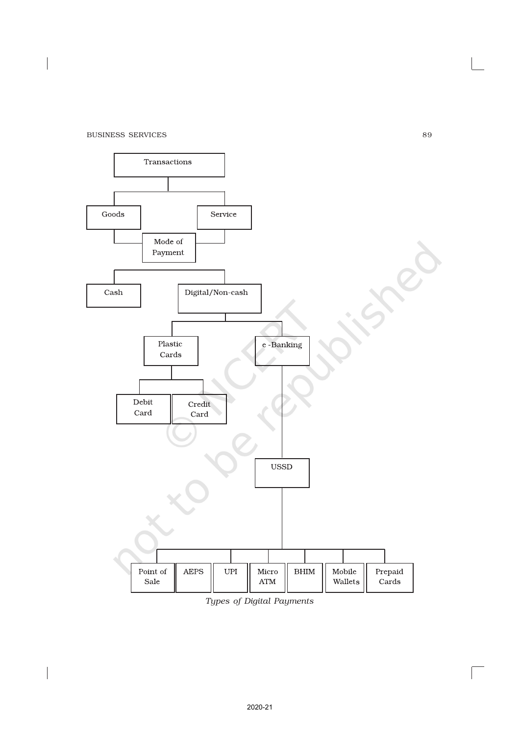

*Types of Digital Payments*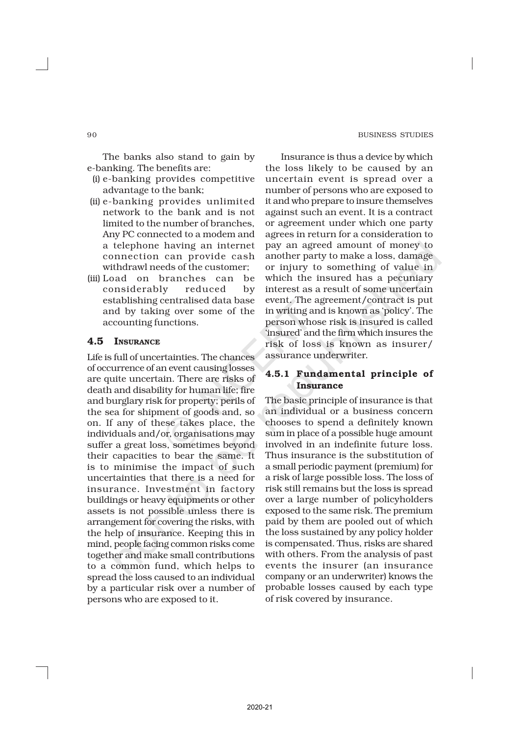The banks also stand to gain by e-banking. The benefits are:

- (i) e-banking provides competitive advantage to the bank;
- (ii) e-banking provides unlimited network to the bank and is not limited to the number of branches, Any PC connected to a modem and a telephone having an internet connection can provide cash withdrawl needs of the customer;
- (iii) Load on branches can be considerably reduced by establishing centralised data base and by taking over some of the accounting functions.

# 4.5 INSURANCE

Life is full of uncertainties. The chances of occurrence of an event causing losses are quite uncertain. There are risks of death and disability for human life; fire and burglary risk for property; perils of the sea for shipment of goods and, so on. If any of these takes place, the individuals and/or, organisations may suffer a great loss, sometimes beyond their capacities to bear the same. It is to minimise the impact of such uncertainties that there is a need for insurance. Investment in factory buildings or heavy equipments or other assets is not possible unless there is arrangement for covering the risks, with the help of insurance. Keeping this in mind, people facing common risks come together and make small contributions to a common fund, which helps to spread the loss caused to an individual by a particular risk over a number of persons who are exposed to it.

Insurance is thus a device by which the loss likely to be caused by an uncertain event is spread over a number of persons who are exposed to it and who prepare to insure themselves against such an event. It is a contract or agreement under which one party agrees in return for a consideration to pay an agreed amount of money to another party to make a loss, damage or injury to something of value in which the insured has a pecuniary interest as a result of some uncertain event. The agreement/contract is put in writing and is known as 'policy'. The person whose risk is insured is called 'insured' and the firm which insures the risk of loss is known as insurer/ assurance underwriter.

# 4.5.1 Fundamental principle of Insurance

The basic principle of insurance is that an individual or a business concern chooses to spend a definitely known sum in place of a possible huge amount involved in an indefinite future loss. Thus insurance is the substitution of a small periodic payment (premium) for a risk of large possible loss. The loss of risk still remains but the loss is spread over a large number of policyholders exposed to the same risk. The premium paid by them are pooled out of which the loss sustained by any policy holder is compensated. Thus, risks are shared with others. From the analysis of past events the insurer (an insurance company or an underwriter) knows the probable losses caused by each type of risk covered by insurance.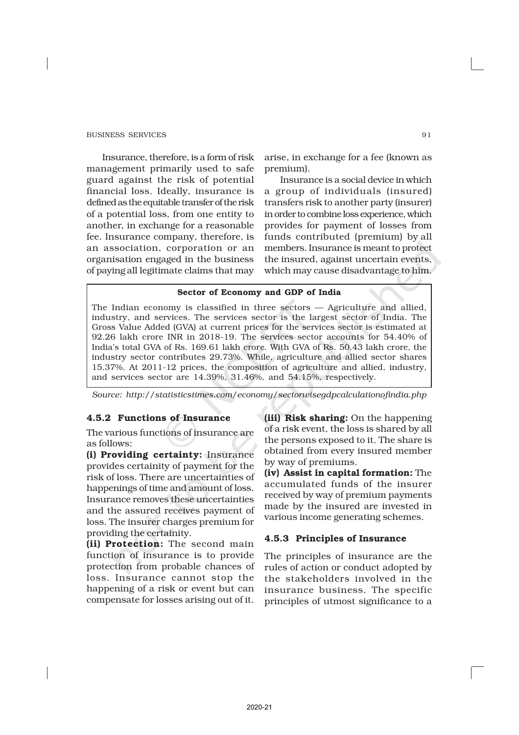Insurance, therefore, is a form of risk management primarily used to safe guard against the risk of potential financial loss. Ideally, insurance is defined as the equitable transfer of the risk of a potential loss, from one entity to another, in exchange for a reasonable fee. Insurance company, therefore, is an association, corporation or an organisation engaged in the business of paying all legitimate claims that may

arise, in exchange for a fee (known as premium).

Insurance is a social device in which a group of individuals (insured) transfers risk to another party (insurer) in order to combine loss experience, which provides for payment of losses from funds contributed (premium) by all members. Insurance is meant to protect the insured, against uncertain events, which may cause disadvantage to him.

# Sector of Economy and GDP of India

The Indian economy is classified in three sectors — Agriculture and allied, industry, and services. The services sector is the largest sector of India. The Gross Value Added (GVA) at current prices for the services sector is estimated at 92.26 lakh crore INR in 2018-19. The services sector accounts for 54.40% of India's total GVA of Rs. 169.61 lakh crore. With GVA of Rs. 50.43 lakh crore, the industry sector contributes 29.73%. While, agriculture and allied sector shares 15.37%. At 2011-12 prices, the composition of agriculture and allied, industry, and services sector are 14.39%, 31.46%, and 54.15%, respectively.

*Source: http://statisticstimes.com/economy/sectorwisegdpcalculationofindia.php*

# 4.5.2 Functions of Insurance

The various functions of insurance are as follows:

(i) Providing certainty: Insurance provides certainity of payment for the risk of loss. There are uncertainties of happenings of time and amount of loss. Insurance removes these uncertainties and the assured receives payment of loss. The insurer charges premium for providing the certainity.

(ii) Protection: The second main function of insurance is to provide protection from probable chances of loss. Insurance cannot stop the happening of a risk or event but can compensate for losses arising out of it. (iii) Risk sharing: On the happening of a risk event, the loss is shared by all the persons exposed to it. The share is obtained from every insured member by way of premiums.

(iv) Assist in capital formation: The accumulated funds of the insurer received by way of premium payments made by the insured are invested in various income generating schemes.

#### 4.5.3 Principles of Insurance

The principles of insurance are the rules of action or conduct adopted by the stakeholders involved in the insurance business. The specific principles of utmost significance to a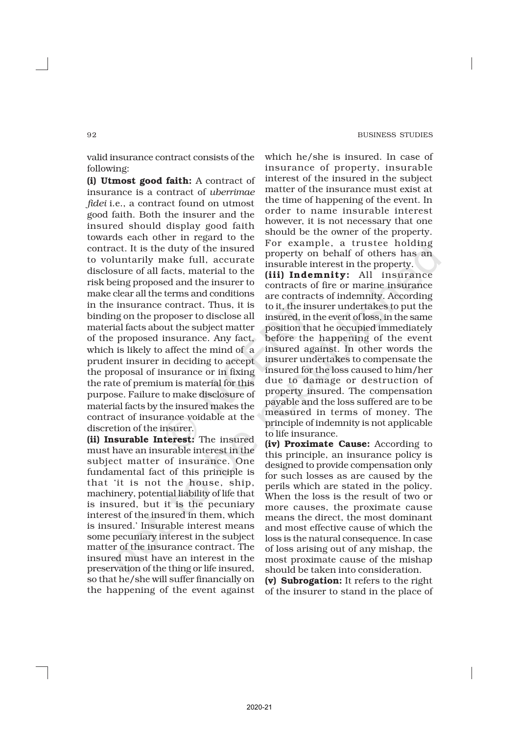valid insurance contract consists of the following:

(i) Utmost good faith: A contract of insurance is a contract of *uberrimae fidei* i.e., a contract found on utmost good faith. Both the insurer and the insured should display good faith towards each other in regard to the contract. It is the duty of the insured to voluntarily make full, accurate disclosure of all facts, material to the risk being proposed and the insurer to make clear all the terms and conditions in the insurance contract. Thus, it is binding on the proposer to disclose all material facts about the subject matter of the proposed insurance. Any fact, which is likely to affect the mind of a prudent insurer in deciding to accept the proposal of insurance or in fixing the rate of premium is material for this purpose. Failure to make disclosure of material facts by the insured makes the contract of insurance voidable at the discretion of the insurer.

(ii) Insurable Interest: The insured must have an insurable interest in the subject matter of insurance. One fundamental fact of this principle is that 'it is not the house, ship, machinery, potential liability of life that is insured, but it is the pecuniary interest of the insured in them, which is insured.' Insurable interest means some pecuniary interest in the subject matter of the insurance contract. The insured must have an interest in the preservation of the thing or life insured, so that he/she will suffer financially on the happening of the event against which he/she is insured. In case of insurance of property, insurable interest of the insured in the subject matter of the insurance must exist at the time of happening of the event. In order to name insurable interest however, it is not necessary that one should be the owner of the property. For example, a trustee holding property on behalf of others has an insurable interest in the property.

(iii) Indemnity: All insurance contracts of fire or marine insurance are contracts of indemnity. According to it, the insurer undertakes to put the insured, in the event of loss, in the same position that he occupied immediately before the happening of the event insured against. In other words the insurer undertakes to compensate the insured for the loss caused to him/her due to damage or destruction of property insured. The compensation payable and the loss suffered are to be measured in terms of money. The principle of indemnity is not applicable to life insurance.

(iv) Proximate Cause: According to this principle, an insurance policy is designed to provide compensation only for such losses as are caused by the perils which are stated in the policy. When the loss is the result of two or more causes, the proximate cause means the direct, the most dominant and most effective cause of which the loss is the natural consequence. In case of loss arising out of any mishap, the most proximate cause of the mishap should be taken into consideration.

(v) Subrogation: It refers to the right of the insurer to stand in the place of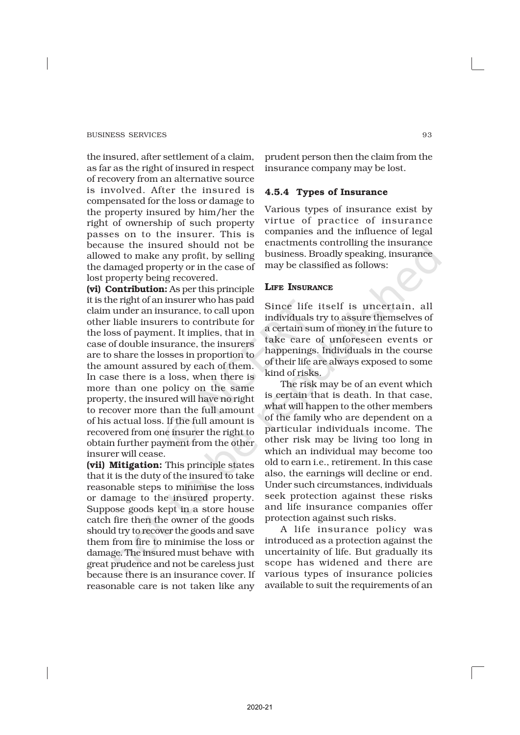the insured, after settlement of a claim, as far as the right of insured in respect of recovery from an alternative source is involved. After the insured is compensated for the loss or damage to the property insured by him/her the right of ownership of such property passes on to the insurer. This is because the insured should not be allowed to make any profit, by selling the damaged property or in the case of lost property being recovered.

(vi) Contribution: As per this principle it is the right of an insurer who has paid claim under an insurance, to call upon other liable insurers to contribute for the loss of payment. It implies, that in case of double insurance, the insurers are to share the losses in proportion to the amount assured by each of them. In case there is a loss, when there is more than one policy on the same property, the insured will have no right to recover more than the full amount of his actual loss. If the full amount is recovered from one insurer the right to obtain further payment from the other insurer will cease.

(vii) Mitigation: This principle states that it is the duty of the insured to take reasonable steps to minimise the loss or damage to the insured property. Suppose goods kept in a store house catch fire then the owner of the goods should try to recover the goods and save them from fire to minimise the loss or damage. The insured must behave with great prudence and not be careless just because there is an insurance cover. If reasonable care is not taken like any

prudent person then the claim from the insurance company may be lost.

#### 4.5.4 Types of Insurance

Various types of insurance exist by virtue of practice of insurance companies and the influence of legal enactments controlling the insurance business. Broadly speaking, insurance may be classified as follows:

#### LIFE INSURANCE

Since life itself is uncertain, all individuals try to assure themselves of a certain sum of money in the future to take care of unforeseen events or happenings. Individuals in the course of their life are always exposed to some kind of risks.

The risk may be of an event which is certain that is death. In that case, what will happen to the other members of the family who are dependent on a particular individuals income. The other risk may be living too long in which an individual may become too old to earn i.e., retirement. In this case also, the earnings will decline or end. Under such circumstances, individuals seek protection against these risks and life insurance companies offer protection against such risks.

A life insurance policy was introduced as a protection against the uncertainity of life. But gradually its scope has widened and there are various types of insurance policies available to suit the requirements of an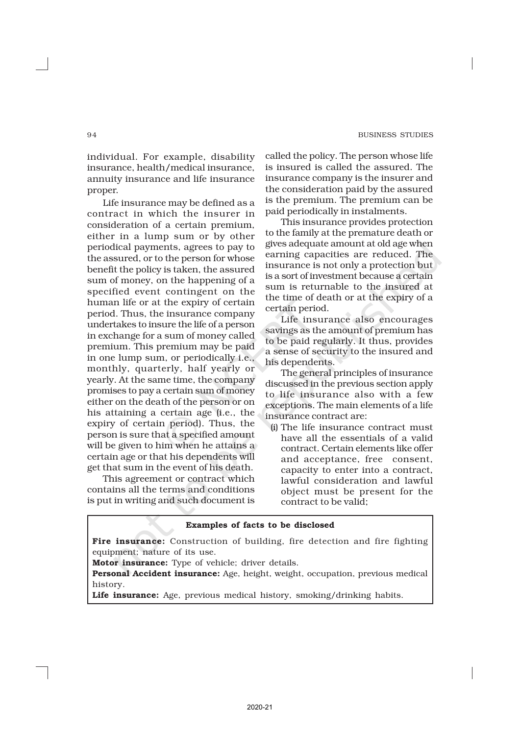individual. For example, disability insurance, health/medical insurance, annuity insurance and life insurance proper.

Life insurance may be defined as a contract in which the insurer in consideration of a certain premium, either in a lump sum or by other periodical payments, agrees to pay to the assured, or to the person for whose benefit the policy is taken, the assured sum of money, on the happening of a specified event contingent on the human life or at the expiry of certain period. Thus, the insurance company undertakes to insure the life of a person in exchange for a sum of money called premium. This premium may be paid in one lump sum, or periodically i.e., monthly, quarterly, half yearly or yearly. At the same time, the company promises to pay a certain sum of money either on the death of the person or on his attaining a certain age (i.e., the expiry of certain period). Thus, the person is sure that a specified amount will be given to him when he attains a certain age or that his dependents will get that sum in the event of his death.

This agreement or contract which contains all the terms and conditions is put in writing and such document is called the policy. The person whose life is insured is called the assured. The insurance company is the insurer and the consideration paid by the assured is the premium. The premium can be paid periodically in instalments.

This insurance provides protection to the family at the premature death or gives adequate amount at old age when earning capacities are reduced. The insurance is not only a protection but is a sort of investment because a certain sum is returnable to the insured at the time of death or at the expiry of a certain period.

Life insurance also encourages savings as the amount of premium has to be paid regularly. It thus, provides a sense of security to the insured and his dependents.

The general principles of insurance discussed in the previous section apply to life insurance also with a few exceptions. The main elements of a life insurance contract are:

(i) The life insurance contract must have all the essentials of a valid contract. Certain elements like offer and acceptance, free consent, capacity to enter into a contract, lawful consideration and lawful object must be present for the contract to be valid;

# Examples of facts to be disclosed Fire insurance: Construction of building, fire detection and fire fighting equipment; nature of its use. Motor insurance: Type of vehicle; driver details. Personal Accident insurance: Age, height, weight, occupation, previous medical history.

Life insurance: Age, previous medical history, smoking/drinking habits.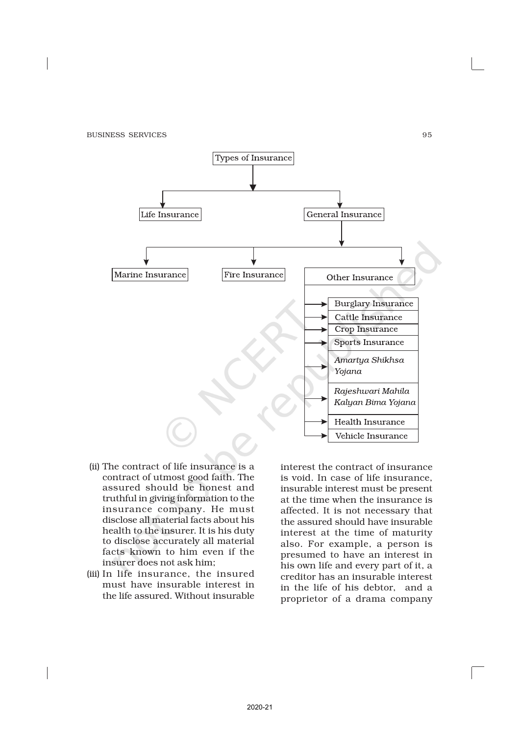

- (ii) The contract of life insurance is a contract of utmost good faith. The assured should be honest and truthful in giving information to the insurance company. He must disclose all material facts about his health to the insurer. It is his duty to disclose accurately all material facts known to him even if the insurer does not ask him;
- (iii) In life insurance, the insured must have insurable interest in the life assured. Without insurable

interest the contract of insurance is void. In case of life insurance, insurable interest must be present at the time when the insurance is affected. It is not necessary that the assured should have insurable interest at the time of maturity also. For example, a person is presumed to have an interest in his own life and every part of it, a creditor has an insurable interest in the life of his debtor, and a proprietor of a drama company

2020-21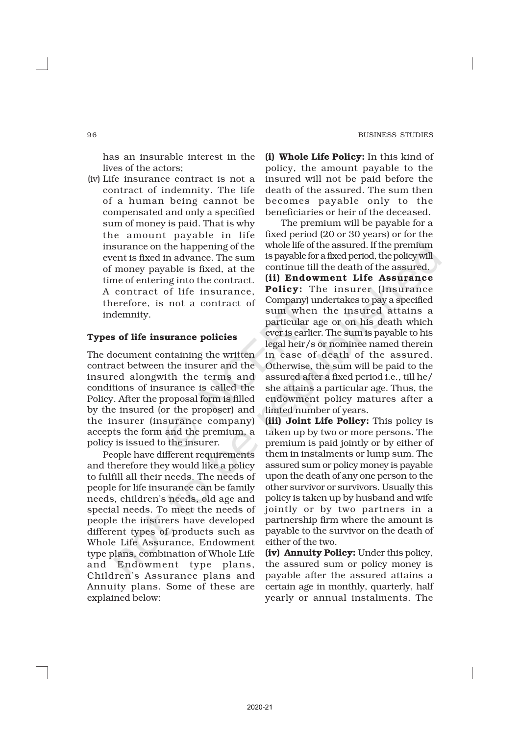has an insurable interest in the lives of the actors;

(iv) Life insurance contract is not a contract of indemnity. The life of a human being cannot be compensated and only a specified sum of money is paid. That is why the amount payable in life insurance on the happening of the event is fixed in advance. The sum of money payable is fixed, at the time of entering into the contract. A contract of life insurance, therefore, is not a contract of indemnity.

#### Types of life insurance policies

The document containing the written contract between the insurer and the insured alongwith the terms and conditions of insurance is called the Policy. After the proposal form is filled by the insured (or the proposer) and the insurer (insurance company) accepts the form and the premium, a policy is issued to the insurer.

People have different requirements and therefore they would like a policy to fulfill all their needs. The needs of people for life insurance can be family needs, children's needs, old age and special needs. To meet the needs of people the insurers have developed different types of products such as Whole Life Assurance, Endowment type plans, combination of Whole Life and Endowment type plans, Children's Assurance plans and Annuity plans. Some of these are explained below:

(i) Whole Life Policy: In this kind of policy, the amount payable to the insured will not be paid before the death of the assured. The sum then becomes payable only to the beneficiaries or heir of the deceased.

The premium will be payable for a fixed period (20 or 30 years) or for the whole life of the assured. If the premium is payable for a fixed period, the policy will continue till the death of the assured. (ii) Endowment Life Assurance Policy: The insurer (Insurance Company) undertakes to pay a specified sum when the insured attains a particular age or on his death which ever is earlier. The sum is payable to his legal heir/s or nominee named therein in case of death of the assured. Otherwise, the sum will be paid to the assured after a fixed period i.e., till he/ she attains a particular age. Thus, the endowment policy matures after a limted number of years.

(iii) Joint Life Policy: This policy is taken up by two or more persons. The premium is paid jointly or by either of them in instalments or lump sum. The assured sum or policy money is payable upon the death of any one person to the other survivor or survivors. Usually this policy is taken up by husband and wife jointly or by two partners in a partnership firm where the amount is payable to the survivor on the death of either of the two.

(iv) Annuity Policy: Under this policy, the assured sum or policy money is payable after the assured attains a certain age in monthly, quarterly, half yearly or annual instalments. The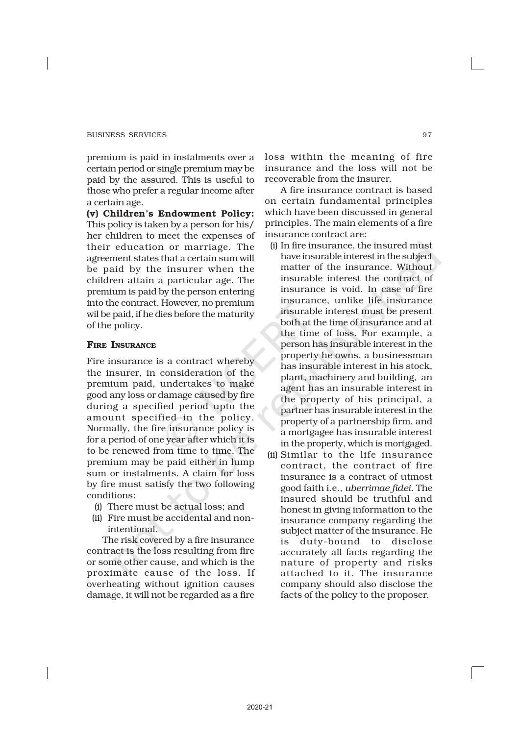premium is paid in instalments over a certain period or single premium may be paid by the assured. This is useful to those who prefer a regular income after a certain age.

(v) Children's Endowment Policy: This policy is taken by a person for his/ her children to meet the expenses of their education or marriage. The agreement states that a certain sum will be paid by the insurer when the children attain a particular age. The premium is paid by the person entering into the contract. However, no premium wil be paid, if he dies before the maturity of the policy.

#### FIRE INSURANCE

Fire insurance is a contract whereby the insurer, in consideration of the premium paid, undertakes to make good any loss or damage caused by fire during a specified period upto the amount specified in the policy. Normally, the fire insurance policy is for a period of one year after which it is to be renewed from time to time. The premium may be paid either in lump sum or instalments. A claim for loss by fire must satisfy the two following conditions:

- (i) There must be actual loss; and
- (ii) Fire must be accidental and nonintentional.

The risk covered by a fire insurance contract is the loss resulting from fire or some other cause, and which is the proximate cause of the loss. If overheating without ignition causes damage, it will not be regarded as a fire

loss within the meaning of fire insurance and the loss will not be recoverable from the insurer.

A fire insurance contract is based on certain fundamental principles which have been discussed in general principles. The main elements of a fire insurance contract are:

- (i) In fire insurance, the insured must have insurable interest in the subject matter of the insurance. Without insurable interest the contract of insurance is void. In case of fire insurance, unlike life insurance insurable interest must be present both at the time of insurance and at the time of loss. For example, a person has insurable interest in the property he owns, a businessman has insurable interest in his stock, plant, machinery and building, an agent has an insurable interest in the property of his principal, a partner has insurable interest in the property of a partnership firm, and a mortgagee has insurable interest in the property, which is mortgaged.
- (ii) Similar to the life insurance contract, the contract of fire insurance is a contract of utmost good faith i.e., *uberrimae fidei*. The insured should be truthful and honest in giving information to the insurance company regarding the subject matter of the insurance. He is duty-bound to disclose accurately all facts regarding the nature of property and risks attached to it. The insurance company should also disclose the facts of the policy to the proposer.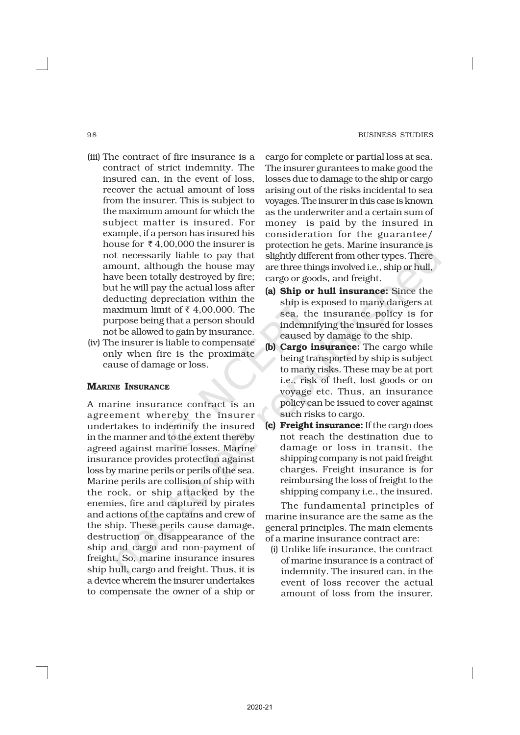- (iii) The contract of fire insurance is a contract of strict indemnity. The insured can, in the event of loss, recover the actual amount of loss from the insurer. This is subject to the maximum amount for which the subject matter is insured. For example, if a person has insured his house for  $\bar{\tau}$  4,00,000 the insurer is not necessarily liable to pay that amount, although the house may have been totally destroyed by fire; but he will pay the actual loss after deducting depreciation within the maximum limit of  $\bar{\tau}$  4,00,000. The purpose being that a person should not be allowed to gain by insurance.
- (iv) The insurer is liable to compensate only when fire is the proximate cause of damage or loss.

# **MARINE INSURANCE**

A marine insurance contract is an agreement whereby the insurer undertakes to indemnify the insured in the manner and to the extent thereby agreed against marine losses. Marine insurance provides protection against loss by marine perils or perils of the sea. Marine perils are collision of ship with the rock, or ship attacked by the enemies, fire and captured by pirates and actions of the captains and crew of the ship. These perils cause damage, destruction or disappearance of the ship and cargo and non-payment of freight. So, marine insurance insures ship hull, cargo and freight. Thus, it is a device wherein the insurer undertakes to compensate the owner of a ship or

cargo for complete or partial loss at sea. The insurer gurantees to make good the losses due to damage to the ship or cargo arising out of the risks incidental to sea voyages. The insurer in this case is known as the underwriter and a certain sum of money is paid by the insured in consideration for the guarantee/ protection he gets. Marine insurance is slightly different from other types. There are three things involved i.e., ship or hull, cargo or goods, and freight.

- (a) Ship or hull insurance: Since the ship is exposed to many dangers at sea, the insurance policy is for indemnifying the insured for losses caused by damage to the ship.
- (b) Cargo insurance: The cargo while being transported by ship is subject to many risks. These may be at port i.e., risk of theft, lost goods or on voyage etc. Thus, an insurance policy can be issued to cover against such risks to cargo.
- (c) Freight insurance: If the cargo does not reach the destination due to damage or loss in transit, the shipping company is not paid freight charges. Freight insurance is for reimbursing the loss of freight to the shipping company i.e., the insured.

The fundamental principles of marine insurance are the same as the general principles. The main elements of a marine insurance contract are:

(i) Unlike life insurance, the contract of marine insurance is a contract of indemnity. The insured can, in the event of loss recover the actual amount of loss from the insurer.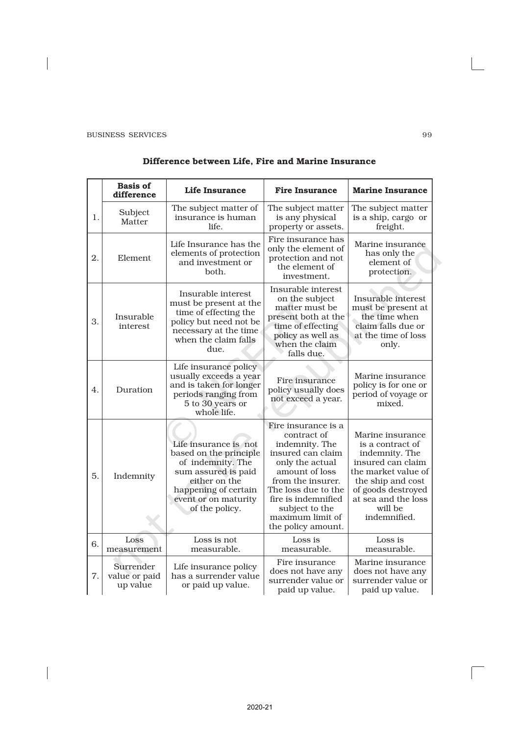$\overline{\phantom{a}}$ 

|                                                                                                                     | <b>Basis of</b><br>Life Insurance<br>difference                                                                                                                                                                                                                                                                                                                                                                                                                                                                                                                                                                                                                                                |                                                                             | <b>Fire Insurance</b>                                                                                                                                                                                                                         | <b>Marine Insurance</b>                                                                                                                                                                         |
|---------------------------------------------------------------------------------------------------------------------|------------------------------------------------------------------------------------------------------------------------------------------------------------------------------------------------------------------------------------------------------------------------------------------------------------------------------------------------------------------------------------------------------------------------------------------------------------------------------------------------------------------------------------------------------------------------------------------------------------------------------------------------------------------------------------------------|-----------------------------------------------------------------------------|-----------------------------------------------------------------------------------------------------------------------------------------------------------------------------------------------------------------------------------------------|-------------------------------------------------------------------------------------------------------------------------------------------------------------------------------------------------|
| The subject matter of<br>Subject<br>insurance is human<br>1.<br>Matter<br>life                                      |                                                                                                                                                                                                                                                                                                                                                                                                                                                                                                                                                                                                                                                                                                | The subject matter<br>is any physical<br>property or assets.                | The subject matter<br>is a ship, cargo or<br>freight.                                                                                                                                                                                         |                                                                                                                                                                                                 |
| 2.                                                                                                                  | Life Insurance has the<br>elements of protection<br>Element<br>and investment or<br>both.<br>Insurable interest<br>must be present at the<br>time of effecting the<br>Insurable<br>policy but need not be<br><i>interest</i><br>necessary at the time<br>when the claim falls<br>due.<br>Life insurance policy<br>usually exceeds a year<br>and is taken for longer<br>Duration<br>periods ranging from<br>5 to 30 years or<br>whole life.<br>Life insurance is not<br>based on the principle<br>of indemnity. The<br>sum assured is paid<br>Indemnity<br>either on the<br>happening of certain<br>event or on maturity<br>of the policy.<br>Loss is not<br>Loss<br>measurable.<br>measurement |                                                                             | Fire insurance has<br>only the element of<br>protection and not<br>the element of<br>investment.                                                                                                                                              | Marine insurance<br>has only the<br>element of<br>protection.                                                                                                                                   |
| 3.                                                                                                                  |                                                                                                                                                                                                                                                                                                                                                                                                                                                                                                                                                                                                                                                                                                |                                                                             | Insurable interest<br>on the subject<br>matter must be<br>present both at the<br>time of effecting<br>policy as well as<br>when the claim<br>falls due.                                                                                       | Insurable interest<br>must be present at<br>the time when<br>claim falls due or<br>at the time of loss<br>only.                                                                                 |
| 4.                                                                                                                  |                                                                                                                                                                                                                                                                                                                                                                                                                                                                                                                                                                                                                                                                                                |                                                                             | Fire insurance<br>policy usually does<br>not exceed a year.                                                                                                                                                                                   | Marine insurance<br>policy is for one or<br>period of voyage or<br>mixed.                                                                                                                       |
| 5.                                                                                                                  |                                                                                                                                                                                                                                                                                                                                                                                                                                                                                                                                                                                                                                                                                                |                                                                             | Fire insurance is a<br>contract of<br>indemnity. The<br>insured can claim<br>only the actual<br>amount of loss<br>from the insurer.<br>The loss due to the<br>fire is indemnified<br>subject to the<br>maximum limit of<br>the policy amount. | Marine insurance<br>is a contract of<br>indemnity. The<br>insured can claim<br>the market value of<br>the ship and cost<br>of goods destroyed<br>at sea and the loss<br>will be<br>indemnified. |
| 6.                                                                                                                  |                                                                                                                                                                                                                                                                                                                                                                                                                                                                                                                                                                                                                                                                                                |                                                                             | Loss is<br>measurable.                                                                                                                                                                                                                        | Loss is<br>measurable.                                                                                                                                                                          |
| Surrender<br>Life insurance policy<br>7.<br>has a surrender value<br>value or paid<br>up value<br>or paid up value. |                                                                                                                                                                                                                                                                                                                                                                                                                                                                                                                                                                                                                                                                                                | Fire insurance<br>does not have any<br>surrender value or<br>paid up value. | Marine insurance<br>does not have any<br>surrender value or<br>paid up value.                                                                                                                                                                 |                                                                                                                                                                                                 |

# Difference between Life, Fire and Marine Insurance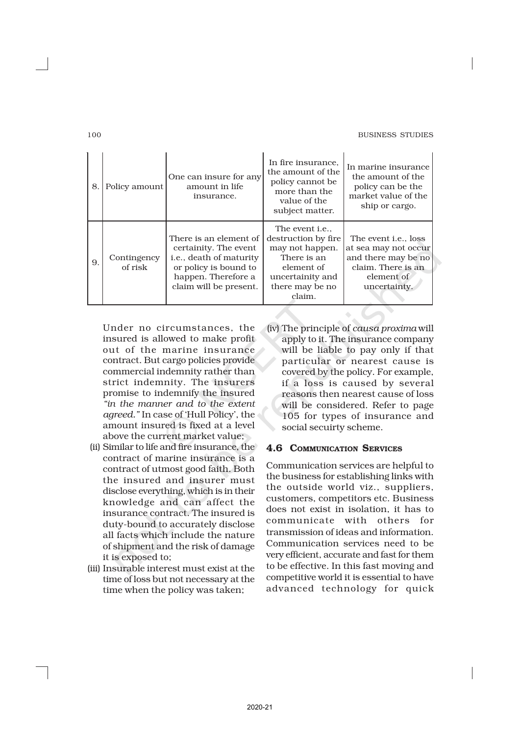100 BUSINESS STUDIES

| 8. | Policy amount          | One can insure for any<br>amount in life<br>insurance.                                                                                                       | In fire insurance,<br>the amount of the<br>policy cannot be<br>more than the<br>value of the<br>subject matter.                                 | In marine insurance<br>the amount of the<br>policy can be the<br>market value of the<br>ship or cargo.                          |
|----|------------------------|--------------------------------------------------------------------------------------------------------------------------------------------------------------|-------------------------------------------------------------------------------------------------------------------------------------------------|---------------------------------------------------------------------------------------------------------------------------------|
| 9. | Contingency<br>of risk | There is an element of<br>certainity. The event<br><i>i.e.</i> , death of maturity<br>or policy is bound to<br>happen. Therefore a<br>claim will be present. | The event <i>i.e.</i> .<br>destruction by fire<br>may not happen.<br>There is an<br>element of<br>uncertainity and<br>there may be no<br>claim. | The event <i>i.e.</i> , loss<br>at sea may not occur<br>and there may be no<br>claim. There is an<br>element of<br>uncertainty. |

Under no circumstances, the (iv) The principle of *causa proxima* will insured is allowed to make profit out of the marine insurance contract. But cargo policies provide commercial indemnity rather than strict indemnity. The insurers promise to indemnify the insured *"in the manner and to the extent agreed."* In case of 'Hull Policy', the amount insured is fixed at a level above the current market value;

- (ii) Similar to life and fire insurance, the contract of marine insurance is a contract of utmost good faith. Both the insured and insurer must disclose everything, which is in their knowledge and can affect the insurance contract. The insured is duty-bound to accurately disclose all facts which include the nature of shipment and the risk of damage it is exposed to;
- (iii) Insurable interest must exist at the time of loss but not necessary at the time when the policy was taken;

apply to it. The insurance company will be liable to pay only if that particular or nearest cause is covered by the policy. For example, if a loss is caused by several reasons then nearest cause of loss will be considered. Refer to page 105 for types of insurance and social secuirty scheme.

#### 4.6 COMMUNICATION SERVICES

Communication services are helpful to the business for establishing links with the outside world viz., suppliers, customers, competitors etc. Business does not exist in isolation, it has to communicate with others for transmission of ideas and information. Communication services need to be very efficient, accurate and fast for them to be effective. In this fast moving and competitive world it is essential to have advanced technology for quick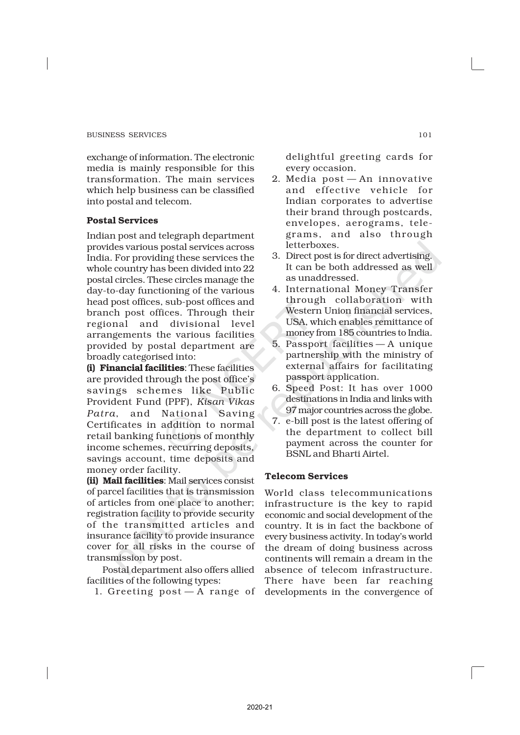exchange of information. The electronic media is mainly responsible for this transformation. The main services which help business can be classified into postal and telecom.

#### Postal Services

Indian post and telegraph department provides various postal services across India. For providing these services the whole country has been divided into 22 postal circles. These circles manage the day-to-day functioning of the various head post offices, sub-post offices and branch post offices. Through their regional and divisional level arrangements the various facilities provided by postal department are broadly categorised into:

(i) Financial facilities: These facilities are provided through the post office's savings schemes like Public Provident Fund (PPF), *Kisan Vikas Patra*, and National Saving Certificates in addition to normal retail banking functions of monthly income schemes, recurring deposits, savings account, time deposits and money order facility.

(ii) Mail facilities: Mail services consist of parcel facilities that is transmission of articles from one place to another; registration facility to provide security of the transmitted articles and insurance facility to provide insurance cover for all risks in the course of transmission by post.

Postal department also offers allied facilities of the following types:

1. Greeting post — A range of

delightful greeting cards for every occasion.

- 2. Media post An innovative and effective vehicle for Indian corporates to advertise their brand through postcards, envelopes, aerograms, telegrams, and also through letterboxes.
- 3. Direct post is for direct advertising. It can be both addressed as well as unaddressed.
- 4. International Money Transfer through collaboration with Western Union financial services, USA, which enables remittance of money from 185 countries to India.
- 5. Passport facilities A unique partnership with the ministry of external affairs for facilitating passport application.
- 6. Speed Post: It has over 1000 destinations in India and links with 97 major countries across the globe.
- 7. e-bill post is the latest offering of the department to collect bill payment across the counter for BSNL and Bharti Airtel.

#### Telecom Services

World class telecommunications infrastructure is the key to rapid economic and social development of the country. It is in fact the backbone of every business activity. In today's world the dream of doing business across continents will remain a dream in the absence of telecom infrastructure. There have been far reaching developments in the convergence of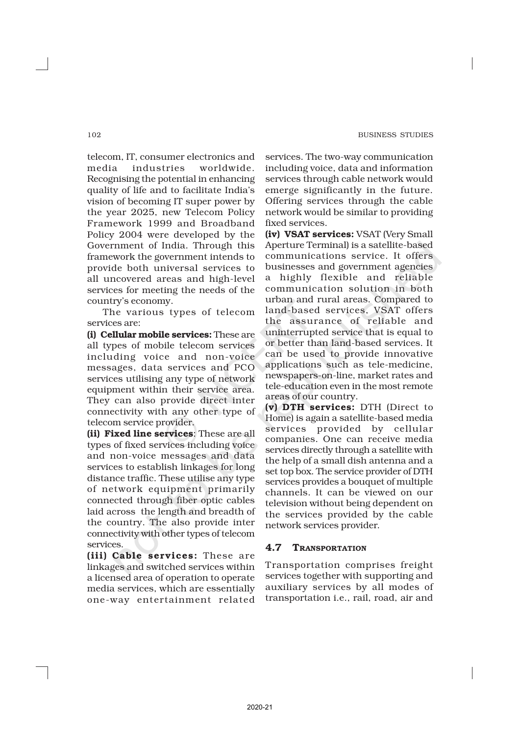telecom, IT, consumer electronics and media industries worldwide. Recognising the potential in enhancing quality of life and to facilitate India's vision of becoming IT super power by the year 2025, new Telecom Policy Framework 1999 and Broadband Policy 2004 were developed by the Government of India. Through this framework the government intends to provide both universal services to all uncovered areas and high-level services for meeting the needs of the country's economy.

The various types of telecom services are:

(i) Cellular mobile services: These are all types of mobile telecom services including voice and non-voice messages, data services and PCO services utilising any type of network equipment within their service area. They can also provide direct inter connectivity with any other type of telecom service provider.

(ii) Fixed line services: These are all types of fixed services including voice and non-voice messages and data services to establish linkages for long distance traffic. These utilise any type of network equipment primarily connected through fiber optic cables laid across the length and breadth of the country. The also provide inter connectivity with other types of telecom services.

(iii) Cable services: These are linkages and switched services within a licensed area of operation to operate media services, which are essentially one-way entertainment related services. The two-way communication including voice, data and information services through cable network would emerge significantly in the future. Offering services through the cable network would be similar to providing fixed services.

(iv) VSAT services: VSAT (Very Small Aperture Terminal) is a satellite-based communications service. It offers businesses and government agencies a highly flexible and reliable communication solution in both urban and rural areas. Compared to land-based services, VSAT offers the assurance of reliable and uninterrupted service that is equal to or better than land-based services. It can be used to provide innovative applications such as tele-medicine, newspapers-on-line, market rates and tele-education even in the most remote areas of our country.

(v) DTH services: DTH (Direct to Home) is again a satellite-based media services provided by cellular companies. One can receive media services directly through a satellite with the help of a small dish antenna and a set top box. The service provider of DTH services provides a bouquet of multiple channels. It can be viewed on our television without being dependent on the services provided by the cable network services provider.

# 4.7 TRANSPORTATION

Transportation comprises freight services together with supporting and auxiliary services by all modes of transportation i.e., rail, road, air and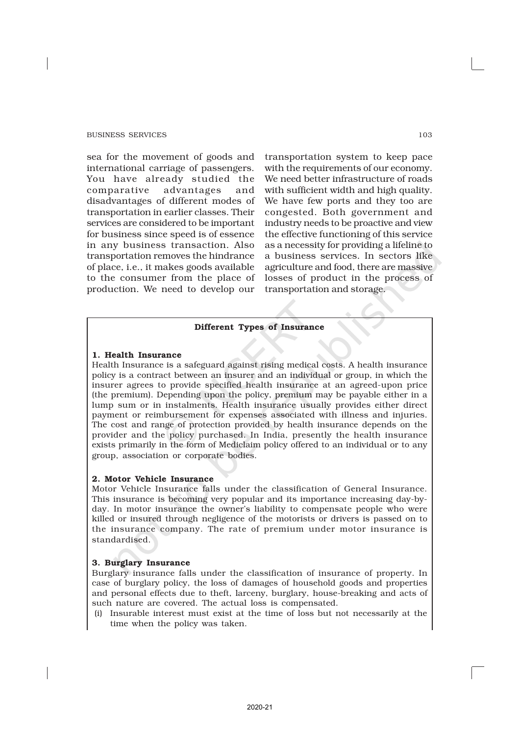sea for the movement of goods and international carriage of passengers. You have already studied the comparative advantages and disadvantages of different modes of transportation in earlier classes. Their services are considered to be important for business since speed is of essence in any business transaction. Also transportation removes the hindrance of place, i.e., it makes goods available to the consumer from the place of production. We need to develop our

transportation system to keep pace with the requirements of our economy. We need better infrastructure of roads with sufficient width and high quality. We have few ports and they too are congested. Both government and industry needs to be proactive and view the effective functioning of this service as a necessity for providing a lifeline to a business services. In sectors like agriculture and food, there are massive losses of product in the process of transportation and storage.

#### Different Types of Insurance

#### 1. Health Insurance

Health Insurance is a safeguard against rising medical costs. A health insurance policy is a contract between an insurer and an individual or group, in which the insurer agrees to provide specified health insurance at an agreed-upon price (the premium). Depending upon the policy, premium may be payable either in a lump sum or in instalments. Health insurance usually provides either direct payment or reimbursement for expenses associated with illness and injuries. The cost and range of protection provided by health insurance depends on the provider and the policy purchased. In India, presently the health insurance exists primarily in the form of Mediclaim policy offered to an individual or to any group, association or corporate bodies.

#### 2. Motor Vehicle Insurance

Motor Vehicle Insurance falls under the classification of General Insurance. This insurance is becoming very popular and its importance increasing day-byday. In motor insurance the owner's liability to compensate people who were killed or insured through negligence of the motorists or drivers is passed on to the insurance company. The rate of premium under motor insurance is standardised.

#### 3. Burglary Insurance

Burglary insurance falls under the classification of insurance of property. In case of burglary policy, the loss of damages of household goods and properties and personal effects due to theft, larceny, burglary, house-breaking and acts of such nature are covered. The actual loss is compensated.

Insurable interest must exist at the time of loss but not necessarily at the time when the policy was taken.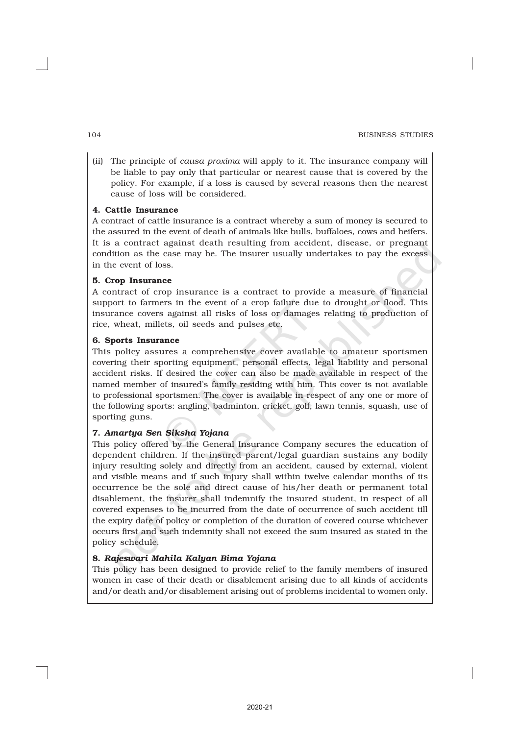(ii) The principle of *causa proxima* will apply to it. The insurance company will be liable to pay only that particular or nearest cause that is covered by the policy. For example, if a loss is caused by several reasons then the nearest cause of loss will be considered.

# 4. Cattle Insurance

A contract of cattle insurance is a contract whereby a sum of money is secured to the assured in the event of death of animals like bulls, buffaloes, cows and heifers. It is a contract against death resulting from accident, disease, or pregnant condition as the case may be. The insurer usually undertakes to pay the excess in the event of loss.

#### 5. Crop Insurance

A contract of crop insurance is a contract to provide a measure of financial support to farmers in the event of a crop failure due to drought or flood. This insurance covers against all risks of loss or damages relating to production of rice, wheat, millets, oil seeds and pulses etc.

#### 6. Sports Insurance

This policy assures a comprehensive cover available to amateur sportsmen covering their sporting equipment, personal effects, legal liability and personal accident risks. If desired the cover can also be made available in respect of the named member of insured's family residing with him. This cover is not available to professional sportsmen. The cover is available in respect of any one or more of the following sports: angling, badminton, cricket, golf, lawn tennis, squash, use of sporting guns.

# 7. *Amartya Sen Siksha Yojana*

This policy offered by the General Insurance Company secures the education of dependent children. If the insured parent/legal guardian sustains any bodily injury resulting solely and directly from an accident, caused by external, violent and visible means and if such injury shall within twelve calendar months of its occurrence be the sole and direct cause of his/her death or permanent total disablement, the insurer shall indemnify the insured student, in respect of all covered expenses to be incurred from the date of occurrence of such accident till the expiry date of policy or completion of the duration of covered course whichever occurs first and such indemnity shall not exceed the sum insured as stated in the policy schedule.

# 8. *Rajeswari Mahila Kalyan Bima Yojana*

This policy has been designed to provide relief to the family members of insured women in case of their death or disablement arising due to all kinds of accidents and/or death and/or disablement arising out of problems incidental to women only.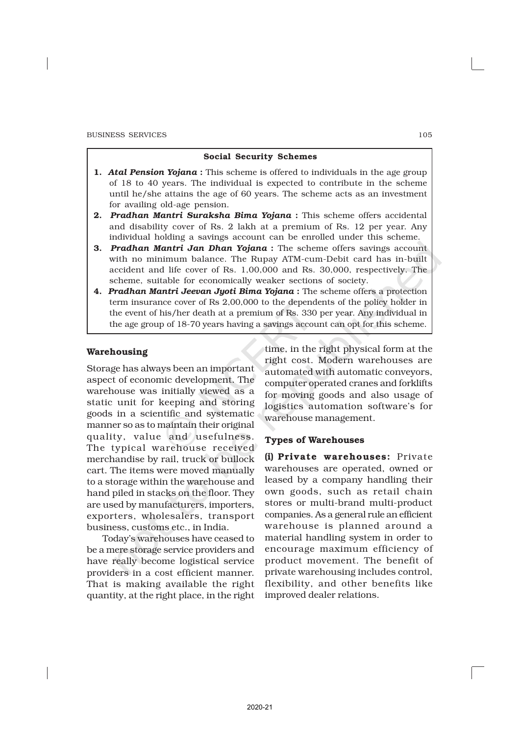#### Social Security Schemes

- 1. *Atal Pension Yojana* : This scheme is offered to individuals in the age group of 18 to 40 years. The individual is expected to contribute in the scheme until he/she attains the age of 60 years. The scheme acts as an investment for availing old-age pension.
- 2. *Pradhan Mantri Suraksha Bima Yojana* : This scheme offers accidental and disability cover of Rs. 2 lakh at a premium of Rs. 12 per year. Any individual holding a savings account can be enrolled under this scheme.
- 3. *Pradhan Mantri Jan Dhan Yojana* : The scheme offers savings account with no minimum balance. The Rupay ATM-cum-Debit card has in-built accident and life cover of Rs. 1,00,000 and Rs. 30,000, respectively. The scheme, suitable for economically weaker sections of society.
- 4. *Pradhan Mantri Jeevan Jyoti Bima Yojana* : The scheme offers a protection term insurance cover of Rs 2,00,000 to the dependents of the policy holder in the event of his/her death at a premium of Rs. 330 per year. Any individual in the age group of 18-70 years having a savings account can opt for this scheme.

#### Warehousing

Storage has always been an important aspect of economic development. The warehouse was initially viewed as a static unit for keeping and storing goods in a scientific and systematic manner so as to maintain their original quality, value and usefulness. The typical warehouse received merchandise by rail, truck or bullock cart. The items were moved manually to a storage within the warehouse and hand piled in stacks on the floor. They are used by manufacturers, importers, exporters, wholesalers, transport business, customs etc., in India.

Today's warehouses have ceased to be a mere storage service providers and have really become logistical service providers in a cost efficient manner. That is making available the right quantity, at the right place, in the right

time, in the right physical form at the right cost. Modern warehouses are automated with automatic conveyors, computer operated cranes and forklifts for moving goods and also usage of logistics automation software's for warehouse management.

#### Types of Warehouses

(i) Private warehouses: Private warehouses are operated, owned or leased by a company handling their own goods, such as retail chain stores or multi-brand multi-product companies. As a general rule an efficient warehouse is planned around a material handling system in order to encourage maximum efficiency of product movement. The benefit of private warehousing includes control, flexibility, and other benefits like improved dealer relations.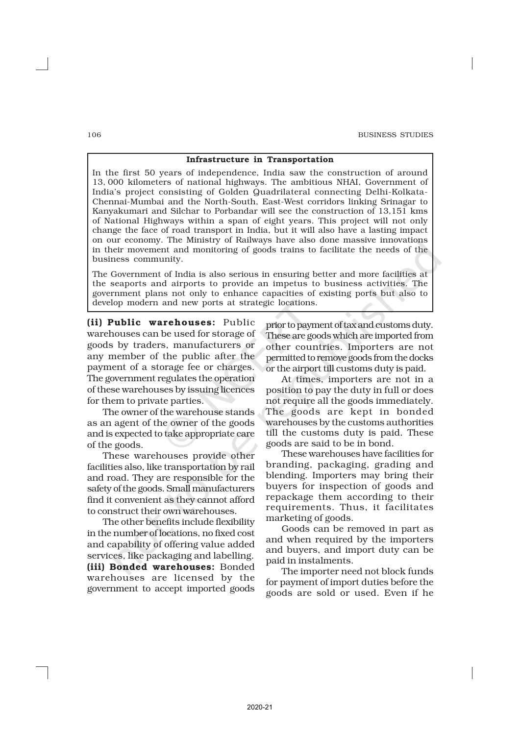#### Infrastructure in Transportation

In the first 50 years of independence, India saw the construction of around 13, 000 kilometers of national highways. The ambitious NHAI, Government of India's project consisting of Golden Quadrilateral connecting Delhi-Kolkata-Chennai-Mumbai and the North-South, East-West corridors linking Srinagar to Kanyakumari and Silchar to Porbandar will see the construction of 13,151 kms of National Highways within a span of eight years. This project will not only change the face of road transport in India, but it will also have a lasting impact on our economy. The Ministry of Railways have also done massive innovations in their movement and monitoring of goods trains to facilitate the needs of the business community.

The Government of India is also serious in ensuring better and more facilities at the seaports and airports to provide an impetus to business activities. The government plans not only to enhance capacities of existing ports but also to develop modern and new ports at strategic locations.

(ii) Public warehouses: Public warehouses can be used for storage of goods by traders, manufacturers or any member of the public after the payment of a storage fee or charges. The government regulates the operation of these warehouses by issuing licences for them to private parties.

The owner of the warehouse stands as an agent of the owner of the goods and is expected to take appropriate care of the goods.

These warehouses provide other facilities also, like transportation by rail and road. They are responsible for the safety of the goods. Small manufacturers find it convenient as they cannot afford to construct their own warehouses.

The other benefits include flexibility in the number of locations, no fixed cost and capability of offering value added services, like packaging and labelling. (iii) Bonded warehouses: Bonded warehouses are licensed by the government to accept imported goods

prior to payment of tax and customs duty. These are goods which are imported from other countries. Importers are not permitted to remove goods from the docks or the airport till customs duty is paid.

At times, importers are not in a position to pay the duty in full or does not require all the goods immediately. The goods are kept in bonded warehouses by the customs authorities till the customs duty is paid. These goods are said to be in bond.

These warehouses have facilities for branding, packaging, grading and blending. Importers may bring their buyers for inspection of goods and repackage them according to their requirements. Thus, it facilitates marketing of goods.

Goods can be removed in part as and when required by the importers and buyers, and import duty can be paid in instalments.

The importer need not block funds for payment of import duties before the goods are sold or used. Even if he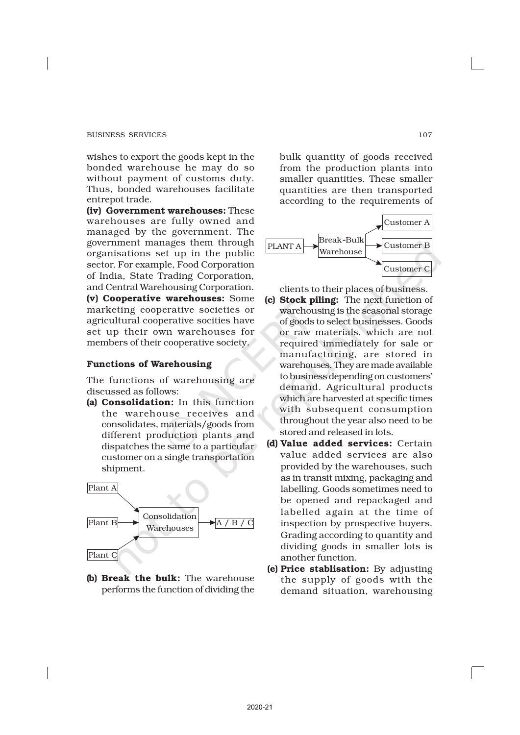wishes to export the goods kept in the bonded warehouse he may do so without payment of customs duty. Thus, bonded warehouses facilitate entrepot trade.

(iv) Government warehouses: These warehouses are fully owned and managed by the government. The government manages them through organisations set up in the public sector. For example, Food Corporation of India, State Trading Corporation, and Central Warehousing Corporation. (v) Cooperative warehouses: Some marketing cooperative societies or agricultural cooperative socities have set up their own warehouses for members of their cooperative society.

#### Functions of Warehousing

The functions of warehousing are discussed as follows:

(a) Consolidation: In this function the warehouse receives and consolidates, materials/goods from different production plants and dispatches the same to a particular customer on a single transportation shipment.



(b) Break the bulk: The warehouse performs the function of dividing the bulk quantity of goods received from the production plants into smaller quantities. These smaller quantities are then transported according to the requirements of



clients to their places of business.

- (c) Stock piling: The next function of warehousing is the seasonal storage of goods to select businesses. Goods or raw materials, which are not required immediately for sale or manufacturing, are stored in warehouses. They are made available to business depending on customers' demand. Agricultural products which are harvested at specific times with subsequent consumption throughout the year also need to be stored and released in lots.
- (d) Value added services: Certain value added services are also provided by the warehouses, such as in transit mixing, packaging and labelling. Goods sometimes need to be opened and repackaged and labelled again at the time of inspection by prospective buyers. Grading according to quantity and dividing goods in smaller lots is another function.
- (e) Price stablisation: By adjusting the supply of goods with the demand situation, warehousing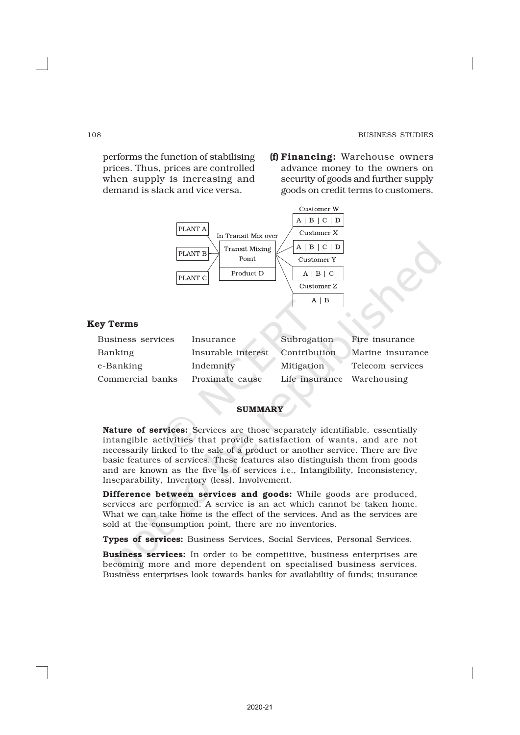performs the function of stabilising prices. Thus, prices are controlled when supply is increasing and demand is slack and vice versa.

(f) Financing: Warehouse owners advance money to the owners on security of goods and further supply goods on credit terms to customers.



### Key Terms

| Business services | Insurance          | Subrogation                | Fire insurance   |
|-------------------|--------------------|----------------------------|------------------|
| Banking           | Insurable interest | Contribution               | Marine insurance |
| e-Banking         | Indemnity          | Mitigation                 | Telecom services |
| Commercial banks  | Proximate cause    | Life insurance Warehousing |                  |

#### **SUMMARY**

Nature of services: Services are those separately identifiable, essentially intangible activities that provide satisfaction of wants, and are not necessarily linked to the sale of a product or another service. There are five basic features of services. These features also distinguish them from goods and are known as the five Is of services i.e., Intangibility, Inconsistency, Inseparability, Inventory (less), Involvement.

Difference between services and goods: While goods are produced, services are performed. A service is an act which cannot be taken home. What we can take home is the effect of the services. And as the services are sold at the consumption point, there are no inventories.

Types of services: Business Services, Social Services, Personal Services.

Business services: In order to be competitive, business enterprises are becoming more and more dependent on specialised business services. Business enterprises look towards banks for availability of funds; insurance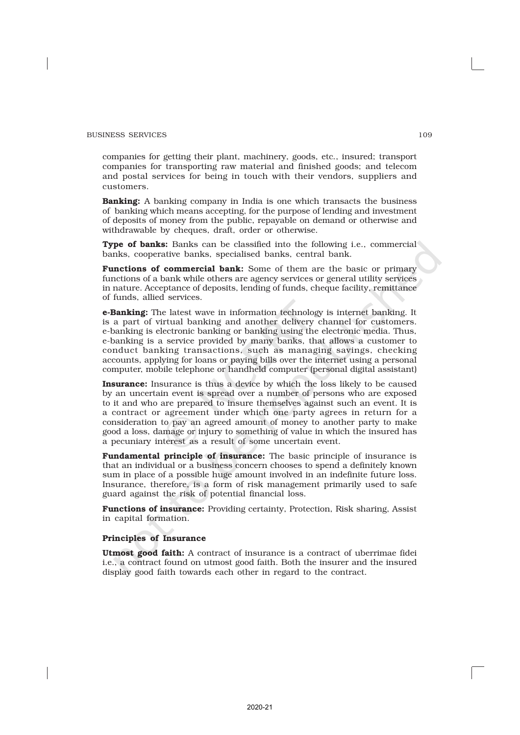companies for getting their plant, machinery, goods, etc., insured; transport companies for transporting raw material and finished goods; and telecom and postal services for being in touch with their vendors, suppliers and customers.

Banking: A banking company in India is one which transacts the business of banking which means accepting, for the purpose of lending and investment of deposits of money from the public, repayable on demand or otherwise and withdrawable by cheques, draft, order or otherwise.

Type of banks: Banks can be classified into the following i.e., commercial banks, cooperative banks, specialised banks, central bank.

Functions of commercial bank: Some of them are the basic or primary functions of a bank while others are agency services or general utility services in nature. Acceptance of deposits, lending of funds, cheque facility, remittance of funds, allied services.

e-Banking: The latest wave in information technology is internet banking. It is a part of virtual banking and another delivery channel for customers. e-banking is electronic banking or banking using the electronic media. Thus, e-banking is a service provided by many banks, that allows a customer to conduct banking transactions, such as managing savings, checking accounts, applying for loans or paying bills over the internet using a personal computer, mobile telephone or handheld computer (personal digital assistant)

Insurance: Insurance is thus a device by which the loss likely to be caused by an uncertain event is spread over a number of persons who are exposed to it and who are prepared to insure themselves against such an event. It is a contract or agreement under which one party agrees in return for a consideration to pay an agreed amount of money to another party to make good a loss, damage or injury to something of value in which the insured has a pecuniary interest as a result of some uncertain event.

Fundamental principle of insurance: The basic principle of insurance is that an individual or a business concern chooses to spend a definitely known sum in place of a possible huge amount involved in an indefinite future loss. Insurance, therefore, is a form of risk management primarily used to safe guard against the risk of potential financial loss.

Functions of insurance: Providing certainty, Protection, Risk sharing, Assist in capital formation.

#### Principles of Insurance

Utmost good faith: A contract of insurance is a contract of uberrimae fidei i.e., a contract found on utmost good faith. Both the insurer and the insured display good faith towards each other in regard to the contract.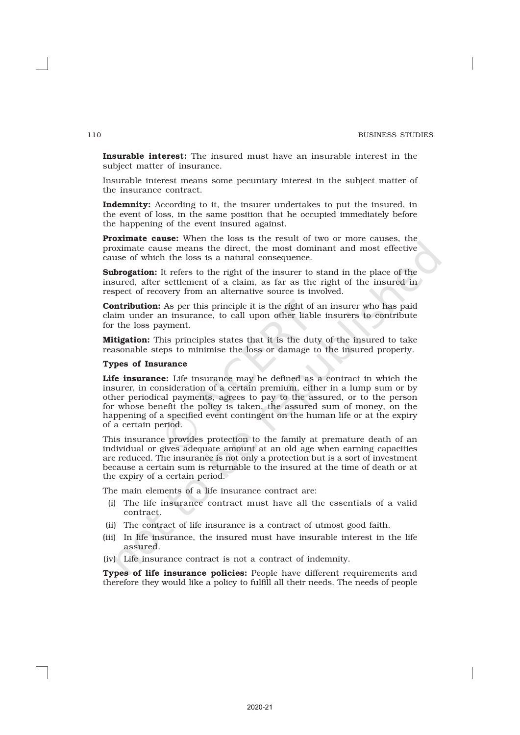Insurable interest: The insured must have an insurable interest in the subject matter of insurance.

Insurable interest means some pecuniary interest in the subject matter of the insurance contract.

Indemnity: According to it, the insurer undertakes to put the insured, in the event of loss, in the same position that he occupied immediately before the happening of the event insured against.

Proximate cause: When the loss is the result of two or more causes, the proximate cause means the direct, the most dominant and most effective cause of which the loss is a natural consequence.

Subrogation: It refers to the right of the insurer to stand in the place of the insured, after settlement of a claim, as far as the right of the insured in respect of recovery from an alternative source is involved.

Contribution: As per this principle it is the right of an insurer who has paid claim under an insurance, to call upon other liable insurers to contribute for the loss payment.

**Mitigation:** This principles states that it is the duty of the insured to take reasonable steps to minimise the loss or damage to the insured property.

#### Types of Insurance

Life insurance: Life insurance may be defined as a contract in which the insurer, in consideration of a certain premium, either in a lump sum or by other periodical payments, agrees to pay to the assured, or to the person for whose benefit the policy is taken, the assured sum of money, on the happening of a specified event contingent on the human life or at the expiry of a certain period.

This insurance provides protection to the family at premature death of an individual or gives adequate amount at an old age when earning capacities are reduced. The insurance is not only a protection but is a sort of investment because a certain sum is returnable to the insured at the time of death or at the expiry of a certain period.

The main elements of a life insurance contract are:

- (i) The life insurance contract must have all the essentials of a valid contract.
- (ii) The contract of life insurance is a contract of utmost good faith.
- (iii) In life insurance, the insured must have insurable interest in the life assured.
- (iv) Life insurance contract is not a contract of indemnity.

Types of life insurance policies: People have different requirements and therefore they would like a policy to fulfill all their needs. The needs of people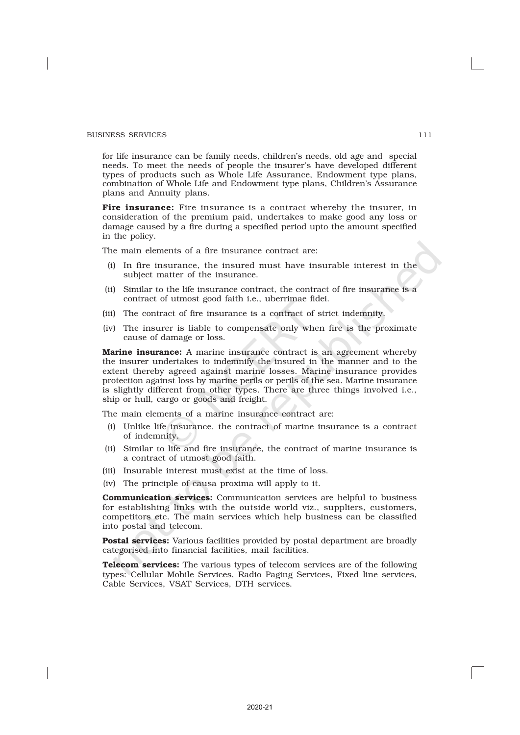for life insurance can be family needs, children's needs, old age and special needs. To meet the needs of people the insurer's have developed different types of products such as Whole Life Assurance, Endowment type plans, combination of Whole Life and Endowment type plans, Children's Assurance plans and Annuity plans.

Fire insurance: Fire insurance is a contract whereby the insurer, in consideration of the premium paid, undertakes to make good any loss or damage caused by a fire during a specified period upto the amount specified in the policy.

The main elements of a fire insurance contract are:

- (i) In fire insurance, the insured must have insurable interest in the subject matter of the insurance.
- (ii) Similar to the life insurance contract, the contract of fire insurance is a contract of utmost good faith i.e., uberrimae fidei.
- (iii) The contract of fire insurance is a contract of strict indemnity.
- (iv) The insurer is liable to compensate only when fire is the proximate cause of damage or loss.

**Marine insurance:** A marine insurance contract is an agreement whereby the insurer undertakes to indemnify the insured in the manner and to the extent thereby agreed against marine losses. Marine insurance provides protection against loss by marine perils or perils of the sea. Marine insurance is slightly different from other types. There are three things involved i.e., ship or hull, cargo or goods and freight.

The main elements of a marine insurance contract are:

- (i) Unlike life insurance, the contract of marine insurance is a contract of indemnity.
- (ii) Similar to life and fire insurance, the contract of marine insurance is a contract of utmost good faith.
- (iii) Insurable interest must exist at the time of loss.
- (iv) The principle of causa proxima will apply to it.

Communication services: Communication services are helpful to business for establishing links with the outside world viz., suppliers, customers, competitors etc. The main services which help business can be classified into postal and telecom.

**Postal services:** Various facilities provided by postal department are broadly categorised into financial facilities, mail facilities.

Telecom services: The various types of telecom services are of the following types: Cellular Mobile Services, Radio Paging Services, Fixed line services, Cable Services, VSAT Services, DTH services.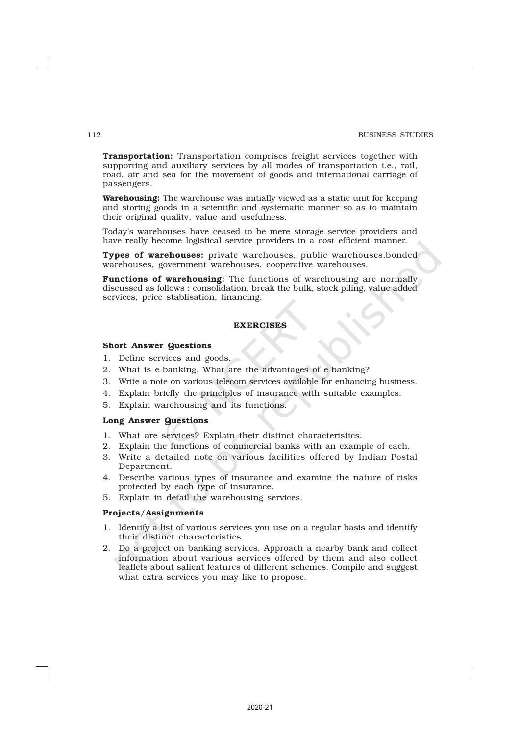**Transportation:** Transportation comprises freight services together with supporting and auxiliary services by all modes of transportation i.e., rail, road, air and sea for the movement of goods and international carriage of passengers.

**Warehousing:** The warehouse was initially viewed as a static unit for keeping and storing goods in a scientific and systematic manner so as to maintain their original quality, value and usefulness.

Today's warehouses have ceased to be mere storage service providers and have really become logistical service providers in a cost efficient manner.

Types of warehouses: private warehouses, public warehouses,bonded warehouses, government warehouses, cooperative warehouses.

Functions of warehousing: The functions of warehousing are normally discussed as follows : consolidation, break the bulk, stock piling, value added services, price stablisation, financing.

#### **EXERCISES**

#### Short Answer Questions

- 1. Define services and goods.
- 2. What is e-banking. What are the advantages of e-banking?
- 3. Write a note on various telecom services available for enhancing business.
- 4. Explain briefly the principles of insurance with suitable examples.
- 5. Explain warehousing and its functions.

#### Long Answer Questions

- 1. What are services? Explain their distinct characteristics.
- 2. Explain the functions of commercial banks with an example of each.
- 3. Write a detailed note on various facilities offered by Indian Postal Department.
- 4. Describe various types of insurance and examine the nature of risks protected by each type of insurance.
- 5. Explain in detail the warehousing services.

#### Projects/Assignments

- 1. Identify a list of various services you use on a regular basis and identify their distinct characteristics.
- 2. Do a project on banking services. Approach a nearby bank and collect information about various services offered by them and also collect leaflets about salient features of different schemes. Compile and suggest what extra services you may like to propose.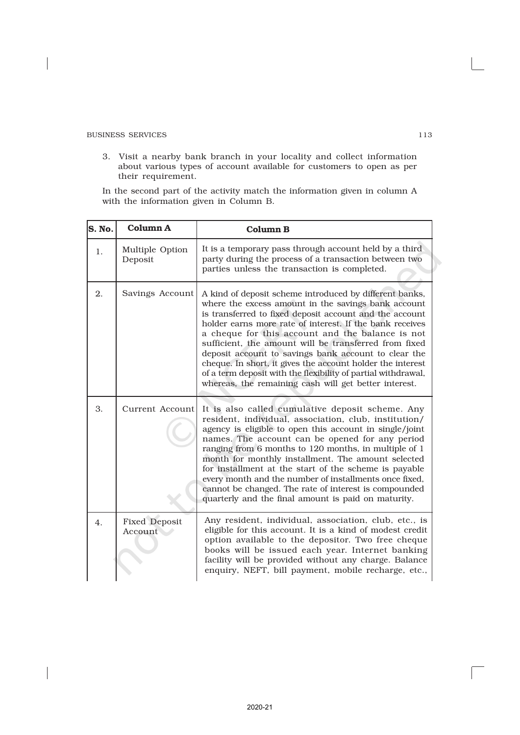3. Visit a nearby bank branch in your locality and collect information about various types of account available for customers to open as per their requirement.

In the second part of the activity match the information given in column A with the information given in Column B.

| <b>Column A</b><br>S. No. |                                 | <b>Column B</b>                                                                                                                                                                                                                                                                                                                                                                                                                                                                                                                                                                                    |  |
|---------------------------|---------------------------------|----------------------------------------------------------------------------------------------------------------------------------------------------------------------------------------------------------------------------------------------------------------------------------------------------------------------------------------------------------------------------------------------------------------------------------------------------------------------------------------------------------------------------------------------------------------------------------------------------|--|
| 1.                        | Multiple Option<br>Deposit      | It is a temporary pass through account held by a third<br>party during the process of a transaction between two<br>parties unless the transaction is completed.                                                                                                                                                                                                                                                                                                                                                                                                                                    |  |
| 2.                        | Savings Account                 | A kind of deposit scheme introduced by different banks,<br>where the excess amount in the savings bank account<br>is transferred to fixed deposit account and the account<br>holder earns more rate of interest. If the bank receives<br>a cheque for this account and the balance is not<br>sufficient, the amount will be transferred from fixed<br>deposit account to savings bank account to clear the<br>cheque. In short, it gives the account holder the interest<br>of a term deposit with the flexibility of partial withdrawal,<br>whereas, the remaining cash will get better interest. |  |
| 3.                        | Current Account                 | It is also called cumulative deposit scheme. Any<br>resident, individual, association, club, institution/<br>agency is eligible to open this account in single/joint<br>names. The account can be opened for any period<br>ranging from 6 months to 120 months, in multiple of 1<br>month for monthly installment. The amount selected<br>for installment at the start of the scheme is payable<br>every month and the number of installments once fixed,<br>cannot be changed. The rate of interest is compounded<br>quarterly and the final amount is paid on maturity.                          |  |
| 4.                        | <b>Fixed Deposit</b><br>Account | Any resident, individual, association, club, etc., is<br>eligible for this account. It is a kind of modest credit<br>option available to the depositor. Two free cheque<br>books will be issued each year. Internet banking<br>facility will be provided without any charge. Balance<br>enquiry, NEFT, bill payment, mobile recharge, etc.,                                                                                                                                                                                                                                                        |  |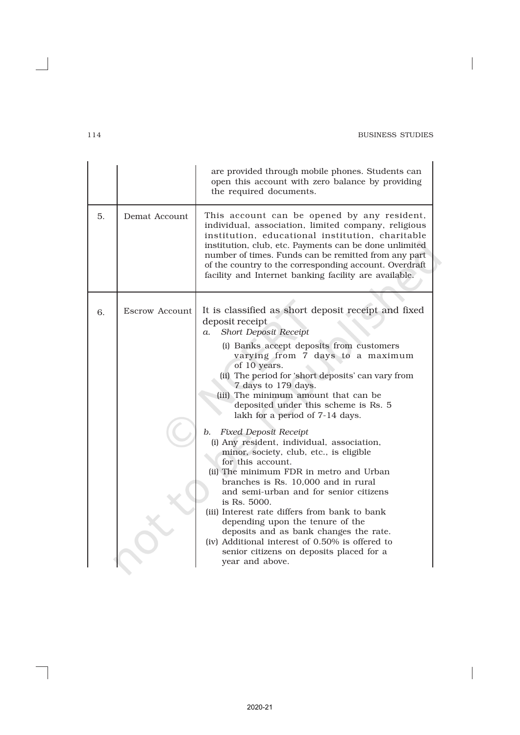$\overline{\phantom{a}}$ 

|    |                | are provided through mobile phones. Students can<br>open this account with zero balance by providing<br>the required documents.                                                                                                                                                                                                                                                                                                                                                                                                                                                                                                                                                                                                                                                                                                                                                                                                              |
|----|----------------|----------------------------------------------------------------------------------------------------------------------------------------------------------------------------------------------------------------------------------------------------------------------------------------------------------------------------------------------------------------------------------------------------------------------------------------------------------------------------------------------------------------------------------------------------------------------------------------------------------------------------------------------------------------------------------------------------------------------------------------------------------------------------------------------------------------------------------------------------------------------------------------------------------------------------------------------|
| 5. | Demat Account  | This account can be opened by any resident,<br>individual, association, limited company, religious<br>institution, educational institution, charitable<br>institution, club, etc. Payments can be done unlimited<br>number of times. Funds can be remitted from any part<br>of the country to the corresponding account. Overdraft<br>facility and Internet banking facility are available.                                                                                                                                                                                                                                                                                                                                                                                                                                                                                                                                                  |
| 6. | Escrow Account | It is classified as short deposit receipt and fixed<br>deposit receipt<br>Short Deposit Receipt<br>a.<br>(i) Banks accept deposits from customers<br>varying from 7 days to a maximum<br>of 10 years.<br>(ii) The period for 'short deposits' can vary from<br>7 days to 179 days.<br>(iii) The minimum amount that can be<br>deposited under this scheme is Rs. 5<br>lakh for a period of 7-14 days.<br>b. Fixed Deposit Receipt<br>(i) Any resident, individual, association,<br>minor, society, club, etc., is eligible<br>for this account.<br>(ii) The minimum FDR in metro and Urban<br>branches is Rs. 10,000 and in rural<br>and semi-urban and for senior citizens<br>is Rs. 5000.<br>(iii) Interest rate differs from bank to bank<br>depending upon the tenure of the<br>deposits and as bank changes the rate.<br>(iv) Additional interest of 0.50% is offered to<br>senior citizens on deposits placed for a<br>year and above. |